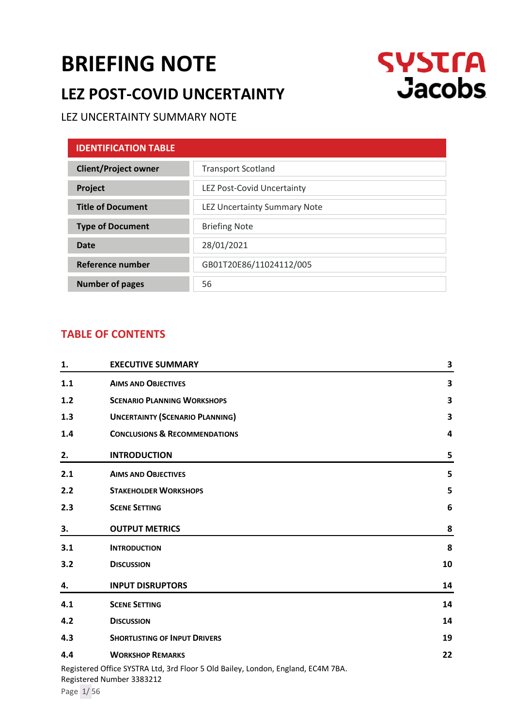# **[BRIEFING NOTE](#page-0-0)**

# **LEZ POST-COVID UNCERTAINTY**



# LEZ UNCERTAINTY SUMMARY NOTE

<span id="page-0-0"></span>

| <b>IDENTIFICATION TABLE</b> |                                     |
|-----------------------------|-------------------------------------|
| <b>Client/Project owner</b> | <b>Transport Scotland</b>           |
| Project                     | LEZ Post-Covid Uncertainty          |
| <b>Title of Document</b>    | <b>LEZ Uncertainty Summary Note</b> |
| <b>Type of Document</b>     | <b>Briefing Note</b>                |
| Date                        | 28/01/2021                          |
| Reference number            | GB01T20E86/11024112/005             |
| <b>Number of pages</b>      | 56                                  |

# **TABLE OF CONTENTS**

| 1.  | <b>EXECUTIVE SUMMARY</b>                                                                                      | 3  |
|-----|---------------------------------------------------------------------------------------------------------------|----|
| 1.1 | <b>AIMS AND OBJECTIVES</b>                                                                                    | 3  |
| 1.2 | <b>SCENARIO PLANNING WORKSHOPS</b>                                                                            | 3  |
| 1.3 | <b>UNCERTAINTY (SCENARIO PLANNING)</b>                                                                        | 3  |
| 1.4 | <b>CONCLUSIONS &amp; RECOMMENDATIONS</b>                                                                      | 4  |
| 2.  | <b>INTRODUCTION</b>                                                                                           | 5  |
| 2.1 | <b>AIMS AND OBJECTIVES</b>                                                                                    | 5  |
| 2.2 | <b>STAKEHOLDER WORKSHOPS</b>                                                                                  | 5  |
| 2.3 | <b>SCENE SETTING</b>                                                                                          | 6  |
| 3.  | <b>OUTPUT METRICS</b>                                                                                         | 8  |
| 3.1 | <b>INTRODUCTION</b>                                                                                           | 8  |
| 3.2 | <b>DISCUSSION</b>                                                                                             | 10 |
| 4.  | <b>INPUT DISRUPTORS</b>                                                                                       | 14 |
| 4.1 | <b>SCENE SETTING</b>                                                                                          | 14 |
| 4.2 | <b>DISCUSSION</b>                                                                                             | 14 |
| 4.3 | <b>SHORTLISTING OF INPUT DRIVERS</b>                                                                          | 19 |
| 4.4 | <b>WORKSHOP REMARKS</b>                                                                                       | 22 |
|     | Registered Office SYSTRA Ltd, 3rd Floor 5 Old Bailey, London, England, EC4M 7BA.<br>Registered Number 3383212 |    |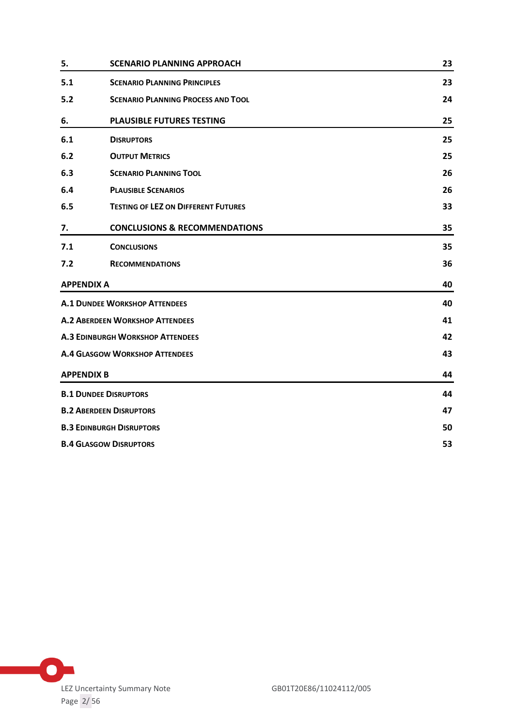| 5.                | <b>SCENARIO PLANNING APPROACH</b>          | 23 |
|-------------------|--------------------------------------------|----|
| 5.1               | <b>SCENARIO PLANNING PRINCIPLES</b>        | 23 |
| 5.2               | <b>SCENARIO PLANNING PROCESS AND TOOL</b>  | 24 |
| 6.                | <b>PLAUSIBLE FUTURES TESTING</b>           | 25 |
| 6.1               | <b>DISRUPTORS</b>                          | 25 |
| 6.2               | <b>OUTPUT METRICS</b>                      | 25 |
| 6.3               | <b>SCENARIO PLANNING TOOL</b>              | 26 |
| 6.4               | <b>PLAUSIBLE SCENARIOS</b>                 | 26 |
| 6.5               | <b>TESTING OF LEZ ON DIFFERENT FUTURES</b> | 33 |
| 7.                | <b>CONCLUSIONS &amp; RECOMMENDATIONS</b>   | 35 |
| 7.1               | <b>CONCLUSIONS</b>                         | 35 |
| 7.2               | <b>RECOMMENDATIONS</b>                     | 36 |
| <b>APPENDIX A</b> |                                            | 40 |
|                   | <b>A.1 DUNDEE WORKSHOP ATTENDEES</b>       |    |
|                   | <b>A.2 ABERDEEN WORKSHOP ATTENDEES</b>     |    |
|                   | <b>A.3 EDINBURGH WORKSHOP ATTENDEES</b>    |    |
|                   | <b>A.4 GLASGOW WORKSHOP ATTENDEES</b>      |    |
| <b>APPENDIX B</b> |                                            | 44 |
|                   | <b>B.1 DUNDEE DISRUPTORS</b>               | 44 |
|                   | <b>B.2 ABERDEEN DISRUPTORS</b>             |    |
|                   | <b>B.3 EDINBURGH DISRUPTORS</b>            |    |
|                   | <b>B.4 GLASGOW DISRUPTORS</b>              |    |

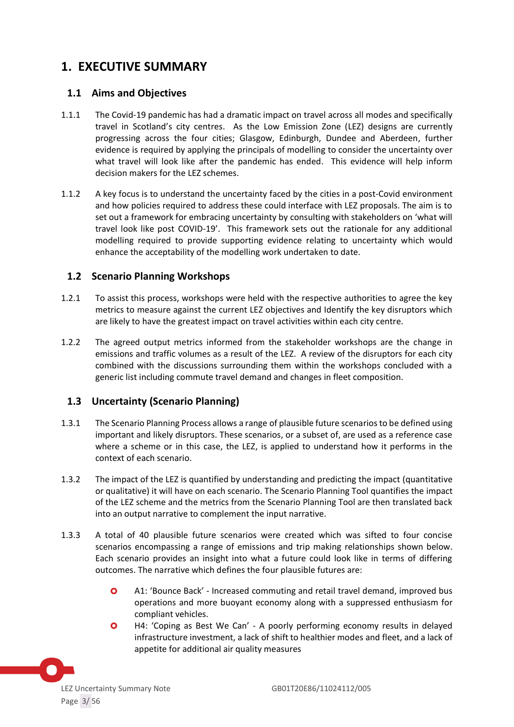# <span id="page-2-0"></span>**1. EXECUTIVE SUMMARY**

### <span id="page-2-1"></span>**1.1 Aims and Objectives**

- 1.1.1 The Covid-19 pandemic has had a dramatic impact on travel across all modes and specifically travel in Scotland's city centres. As the Low Emission Zone (LEZ) designs are currently progressing across the four cities; Glasgow, Edinburgh, Dundee and Aberdeen, further evidence is required by applying the principals of modelling to consider the uncertainty over what travel will look like after the pandemic has ended. This evidence will help inform decision makers for the LEZ schemes.
- 1.1.2 A key focus is to understand the uncertainty faced by the cities in a post-Covid environment and how policies required to address these could interface with LEZ proposals. The aim is to set out a framework for embracing uncertainty by consulting with stakeholders on 'what will travel look like post COVID-19'. This framework sets out the rationale for any additional modelling required to provide supporting evidence relating to uncertainty which would enhance the acceptability of the modelling work undertaken to date.

### <span id="page-2-2"></span>**1.2 Scenario Planning Workshops**

- 1.2.1 To assist this process, workshops were held with the respective authorities to agree the key metrics to measure against the current LEZ objectives and Identify the key disruptors which are likely to have the greatest impact on travel activities within each city centre.
- 1.2.2 The agreed output metrics informed from the stakeholder workshops are the change in emissions and traffic volumes as a result of the LEZ. A review of the disruptors for each city combined with the discussions surrounding them within the workshops concluded with a generic list including commute travel demand and changes in fleet composition.

# <span id="page-2-3"></span>**1.3 Uncertainty (Scenario Planning)**

- 1.3.1 The Scenario Planning Process allows a range of plausible future scenarios to be defined using important and likely disruptors. These scenarios, or a subset of, are used as a reference case where a scheme or in this case, the LEZ, is applied to understand how it performs in the context of each scenario.
- 1.3.2 The impact of the LEZ is quantified by understanding and predicting the impact (quantitative or qualitative) it will have on each scenario. The Scenario Planning Tool quantifies the impact of the LEZ scheme and the metrics from the Scenario Planning Tool are then translated back into an output narrative to complement the input narrative.
- 1.3.3 A total of 40 plausible future scenarios were created which was sifted to four concise scenarios encompassing a range of emissions and trip making relationships shown below. Each scenario provides an insight into what a future could look like in terms of differing outcomes. The narrative which defines the four plausible futures are:
	- A1: 'Bounce Back' Increased commuting and retail travel demand, improved bus operations and more buoyant economy along with a suppressed enthusiasm for compliant vehicles.
	- H4: 'Coping as Best We Can' A poorly performing economy results in delayed infrastructure investment, a lack of shift to healthier modes and fleet, and a lack of appetite for additional air quality measures

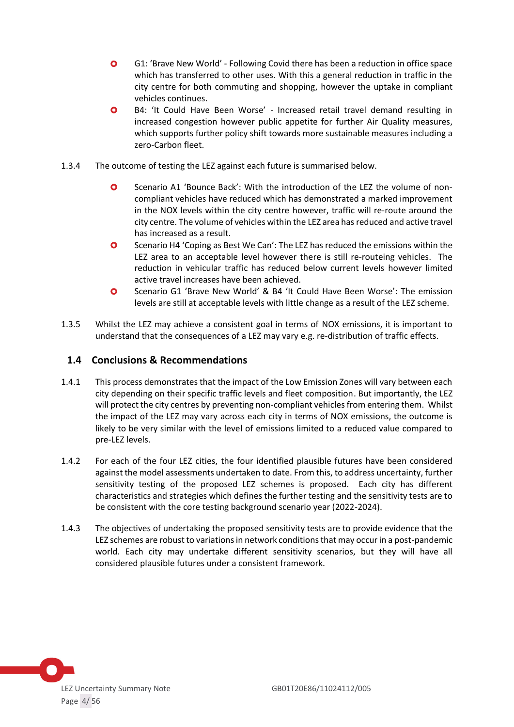- G1: 'Brave New World' Following Covid there has been a reduction in office space which has transferred to other uses. With this a general reduction in traffic in the city centre for both commuting and shopping, however the uptake in compliant vehicles continues.
- B4: 'It Could Have Been Worse' Increased retail travel demand resulting in increased congestion however public appetite for further Air Quality measures, which supports further policy shift towards more sustainable measures including a zero-Carbon fleet.
- 1.3.4 The outcome of testing the LEZ against each future is summarised below.
	- Scenario A1 'Bounce Back': With the introduction of the LEZ the volume of noncompliant vehicles have reduced which has demonstrated a marked improvement in the NOX levels within the city centre however, traffic will re-route around the city centre. The volume of vehicles within the LEZ area has reduced and active travel has increased as a result.
	- Scenario H4 'Coping as Best We Can': The LEZ has reduced the emissions within the LEZ area to an acceptable level however there is still re-routeing vehicles. The reduction in vehicular traffic has reduced below current levels however limited active travel increases have been achieved.
	- Scenario G1 'Brave New World' & B4 'It Could Have Been Worse': The emission levels are still at acceptable levels with little change as a result of the LEZ scheme.
- 1.3.5 Whilst the LEZ may achieve a consistent goal in terms of NOX emissions, it is important to understand that the consequences of a LEZ may vary e.g. re-distribution of traffic effects.

### <span id="page-3-0"></span>**1.4 Conclusions & Recommendations**

- 1.4.1 This process demonstrates that the impact of the Low Emission Zones will vary between each city depending on their specific traffic levels and fleet composition. But importantly, the LEZ will protect the city centres by preventing non-compliant vehicles from entering them. Whilst the impact of the LEZ may vary across each city in terms of NOX emissions, the outcome is likely to be very similar with the level of emissions limited to a reduced value compared to pre-LEZ levels.
- 1.4.2 For each of the four LEZ cities, the four identified plausible futures have been considered against the model assessments undertaken to date. From this, to address uncertainty, further sensitivity testing of the proposed LEZ schemes is proposed. Each city has different characteristics and strategies which defines the further testing and the sensitivity tests are to be consistent with the core testing background scenario year (2022-2024).
- 1.4.3 The objectives of undertaking the proposed sensitivity tests are to provide evidence that the LEZ schemes are robust to variations in network conditions that may occur in a post-pandemic world. Each city may undertake different sensitivity scenarios, but they will have all considered plausible futures under a consistent framework.

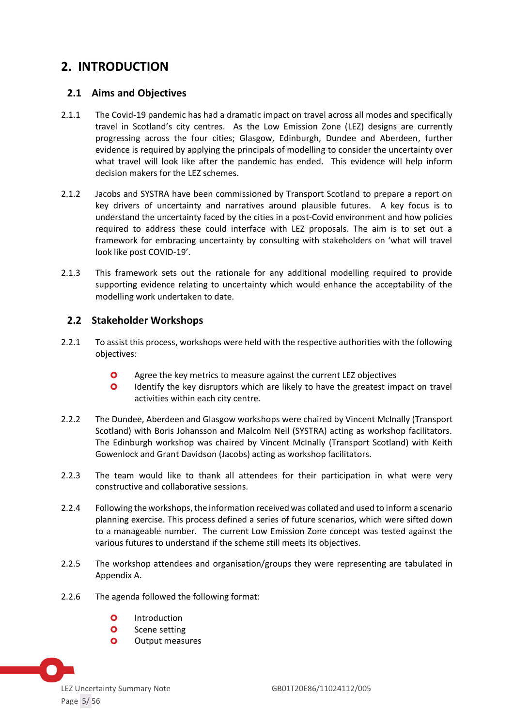# <span id="page-4-0"></span>**2. INTRODUCTION**

### <span id="page-4-1"></span>**2.1 Aims and Objectives**

- 2.1.1 The Covid-19 pandemic has had a dramatic impact on travel across all modes and specifically travel in Scotland's city centres. As the Low Emission Zone (LEZ) designs are currently progressing across the four cities; Glasgow, Edinburgh, Dundee and Aberdeen, further evidence is required by applying the principals of modelling to consider the uncertainty over what travel will look like after the pandemic has ended. This evidence will help inform decision makers for the LEZ schemes.
- 2.1.2 Jacobs and SYSTRA have been commissioned by Transport Scotland to prepare a report on key drivers of uncertainty and narratives around plausible futures. A key focus is to understand the uncertainty faced by the cities in a post-Covid environment and how policies required to address these could interface with LEZ proposals. The aim is to set out a framework for embracing uncertainty by consulting with stakeholders on 'what will travel look like post COVID-19'.
- 2.1.3 This framework sets out the rationale for any additional modelling required to provide supporting evidence relating to uncertainty which would enhance the acceptability of the modelling work undertaken to date.

# <span id="page-4-2"></span>**2.2 Stakeholder Workshops**

- 2.2.1 To assist this process, workshops were held with the respective authorities with the following objectives:
	- **O** Agree the key metrics to measure against the current LEZ objectives
	- **O** Identify the key disruptors which are likely to have the greatest impact on travel activities within each city centre.
- 2.2.2 The Dundee, Aberdeen and Glasgow workshops were chaired by Vincent McInally (Transport Scotland) with Boris Johansson and Malcolm Neil (SYSTRA) acting as workshop facilitators. The Edinburgh workshop was chaired by Vincent McInally (Transport Scotland) with Keith Gowenlock and Grant Davidson (Jacobs) acting as workshop facilitators.
- 2.2.3 The team would like to thank all attendees for their participation in what were very constructive and collaborative sessions.
- 2.2.4 Following the workshops, the information received was collated and used to inform a scenario planning exercise. This process defined a series of future scenarios, which were sifted down to a manageable number. The current Low Emission Zone concept was tested against the various futures to understand if the scheme still meets its objectives.
- 2.2.5 The workshop attendees and organisation/groups they were representing are tabulated in Appendix A.
- 2.2.6 The agenda followed the following format:
	- **O** Introduction
	- **O** Scene setting
	- **O** Output measures

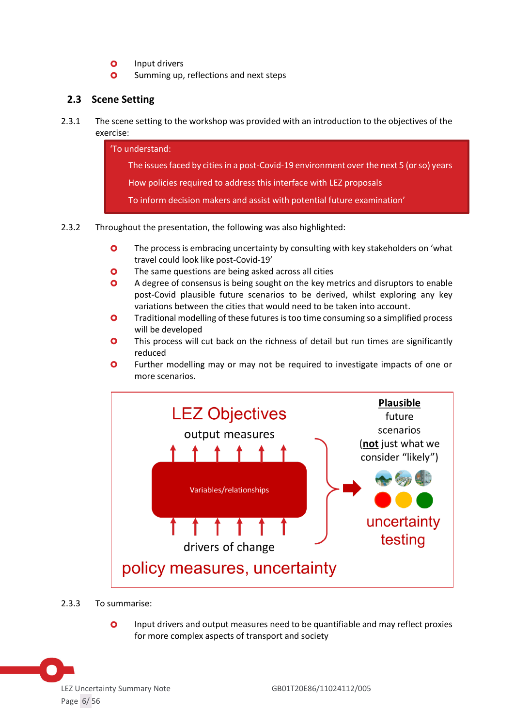- **O** Input drivers
- **O** Summing up, reflections and next steps

# <span id="page-5-0"></span>**2.3 Scene Setting**

2.3.1 The scene setting to the workshop was provided with an introduction to the objectives of the exercise:

> 'To understand: The issues faced by cities in a post-Covid-19 environment over the next 5 (or so) years How policies required to address this interface with LEZ proposals To inform decision makers and assist with potential future examination'

- 2.3.2 Throughout the presentation, the following was also highlighted:
	- **O** The process is embracing uncertainty by consulting with key stakeholders on 'what travel could look like post-Covid-19'
	- **O** The same questions are being asked across all cities
	- A degree of consensus is being sought on the key metrics and disruptors to enable post-Covid plausible future scenarios to be derived, whilst exploring any key variations between the cities that would need to be taken into account.
	- **O** Traditional modelling of these futures is too time consuming so a simplified process will be developed
	- **O** This process will cut back on the richness of detail but run times are significantly reduced
	- **O** Further modelling may or may not be required to investigate impacts of one or more scenarios.



- 2.3.3 To summarise:
	- Input drivers and output measures need to be quantifiable and may reflect proxies for more complex aspects of transport and society

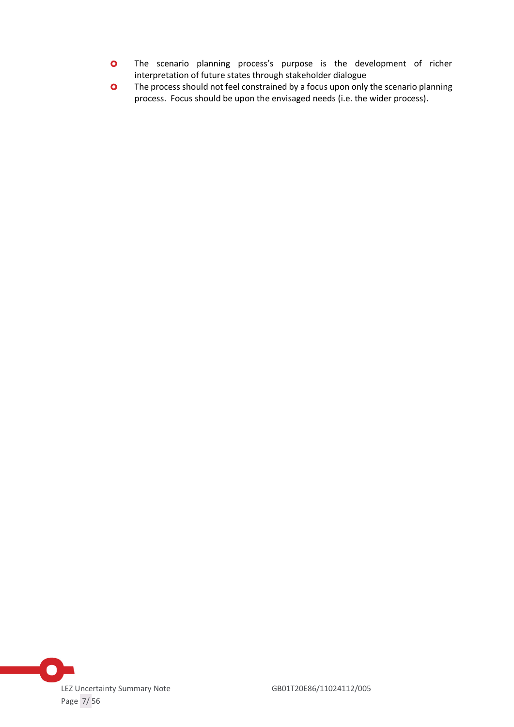- **O** The scenario planning process's purpose is the development of richer interpretation of future states through stakeholder dialogue
- **O** The process should not feel constrained by a focus upon only the scenario planning process. Focus should be upon the envisaged needs (i.e. the wider process).

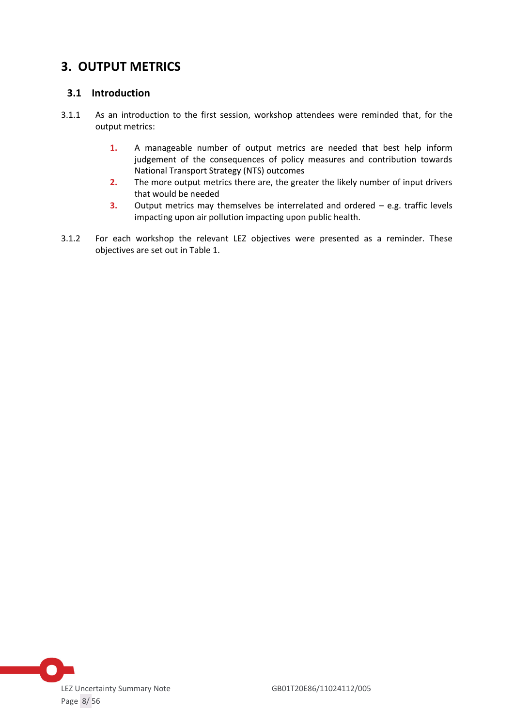# <span id="page-7-0"></span>**3. OUTPUT METRICS**

# <span id="page-7-1"></span>**3.1 Introduction**

- 3.1.1 As an introduction to the first session, workshop attendees were reminded that, for the output metrics:
	- **1.** A manageable number of output metrics are needed that best help inform judgement of the consequences of policy measures and contribution towards National Transport Strategy (NTS) outcomes
	- **2.** The more output metrics there are, the greater the likely number of input drivers that would be needed
	- **3.** Output metrics may themselves be interrelated and ordered e.g. traffic levels impacting upon air pollution impacting upon public health.
- 3.1.2 For each workshop the relevant LEZ objectives were presented as a reminder. These objectives are set out in Table 1.

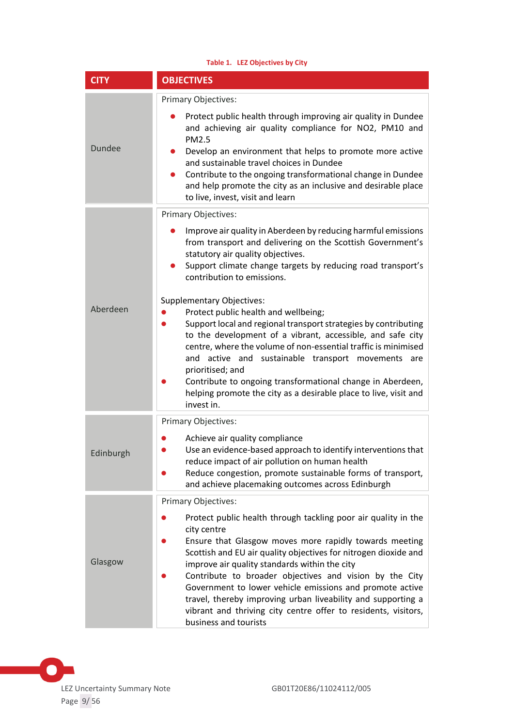| Table 1. LEZ Objectives by City |                                                                                                                                                                                                                                                                                                                                                                                                                                                                                                                                                                                                                                                                                                                                                                                                  |  |
|---------------------------------|--------------------------------------------------------------------------------------------------------------------------------------------------------------------------------------------------------------------------------------------------------------------------------------------------------------------------------------------------------------------------------------------------------------------------------------------------------------------------------------------------------------------------------------------------------------------------------------------------------------------------------------------------------------------------------------------------------------------------------------------------------------------------------------------------|--|
| <b>CITY</b>                     | <b>OBJECTIVES</b>                                                                                                                                                                                                                                                                                                                                                                                                                                                                                                                                                                                                                                                                                                                                                                                |  |
| <b>Dundee</b>                   | Primary Objectives:<br>Protect public health through improving air quality in Dundee<br>and achieving air quality compliance for NO2, PM10 and<br>PM2.5<br>Develop an environment that helps to promote more active<br>and sustainable travel choices in Dundee<br>Contribute to the ongoing transformational change in Dundee<br>and help promote the city as an inclusive and desirable place<br>to live, invest, visit and learn                                                                                                                                                                                                                                                                                                                                                              |  |
| Aberdeen                        | Primary Objectives:<br>Improve air quality in Aberdeen by reducing harmful emissions<br>from transport and delivering on the Scottish Government's<br>statutory air quality objectives.<br>Support climate change targets by reducing road transport's<br>contribution to emissions.<br><b>Supplementary Objectives:</b><br>Protect public health and wellbeing;<br>Support local and regional transport strategies by contributing<br>to the development of a vibrant, accessible, and safe city<br>centre, where the volume of non-essential traffic is minimised<br>and active and sustainable transport movements<br>are<br>prioritised; and<br>Contribute to ongoing transformational change in Aberdeen,<br>helping promote the city as a desirable place to live, visit and<br>invest in. |  |
| Edinburgh                       | Primary Objectives:<br>Achieve air quality compliance<br>Use an evidence-based approach to identify interventions that<br>reduce impact of air pollution on human health<br>Reduce congestion, promote sustainable forms of transport,<br>and achieve placemaking outcomes across Edinburgh                                                                                                                                                                                                                                                                                                                                                                                                                                                                                                      |  |
| Glasgow                         | Primary Objectives:<br>Protect public health through tackling poor air quality in the<br>city centre<br>Ensure that Glasgow moves more rapidly towards meeting<br>Scottish and EU air quality objectives for nitrogen dioxide and<br>improve air quality standards within the city<br>Contribute to broader objectives and vision by the City<br>Government to lower vehicle emissions and promote active<br>travel, thereby improving urban liveability and supporting a<br>vibrant and thriving city centre offer to residents, visitors,<br>business and tourists                                                                                                                                                                                                                             |  |

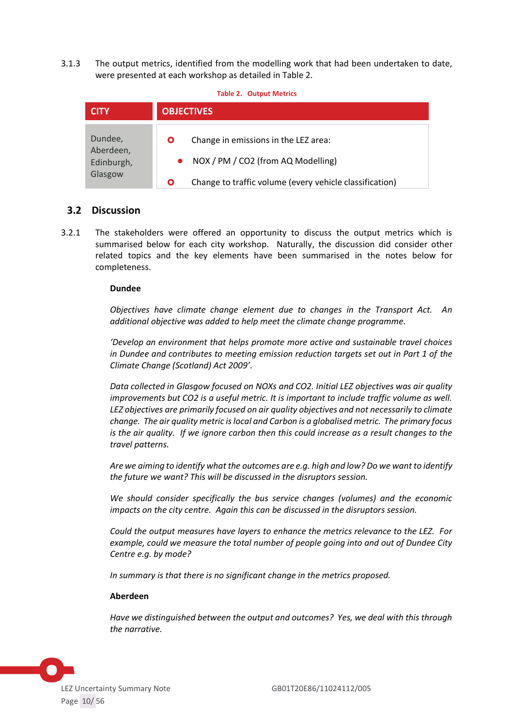3.1.3 The output metrics, identified from the modelling work that had been undertaken to date, were presented at each workshop as detailed in Table 2.

| <b>Table 2. Output Metrics</b>                |        |                                                                                                                                       |
|-----------------------------------------------|--------|---------------------------------------------------------------------------------------------------------------------------------------|
| <b>CITY</b>                                   |        | <b>OBJECTIVES</b>                                                                                                                     |
| Dundee,<br>Aberdeen,<br>Edinburgh,<br>Glasgow | O<br>О | Change in emissions in the LEZ area:<br>NOX / PM / CO2 (from AQ Modelling)<br>Change to traffic volume (every vehicle classification) |

### <span id="page-9-0"></span>**3.2 Discussion**

3.2.1 The stakeholders were offered an opportunity to discuss the output metrics which is summarised below for each city workshop. Naturally, the discussion did consider other related topics and the key elements have been summarised in the notes below for completeness.

#### **Dundee**

*Objectives have climate change element due to changes in the Transport Act. An additional objective was added to help meet the climate change programme.*

*'Develop an environment that helps promote more active and sustainable travel choices in Dundee and contributes to meeting emission reduction targets set out in Part 1 of the Climate Change (Scotland) Act 2009'.*

*Data collected in Glasgow focused on NOXs and CO2. Initial LEZ objectives was air quality improvements but CO2 is a useful metric. It is important to include traffic volume as well. LEZ objectives are primarily focused on air quality objectives and not necessarily to climate change. The air quality metric is local and Carbon is a globalised metric. The primary focus is the air quality. If we ignore carbon then this could increase as a result changes to the travel patterns.*

*Are we aiming to identify what the outcomes are e.g. high and low? Do we want to identify the future we want? This will be discussed in the disruptors session.*

*We should consider specifically the bus service changes (volumes) and the economic impacts on the city centre. Again this can be discussed in the disruptors session.*

*Could the output measures have layers to enhance the metrics relevance to the LEZ. For example, could we measure the total number of people going into and out of Dundee City Centre e.g. by mode?*

*In summary is that there is no significant change in the metrics proposed.*

#### **Aberdeen**

*Have we distinguished between the output and outcomes? Yes, we deal with this through the narrative.*

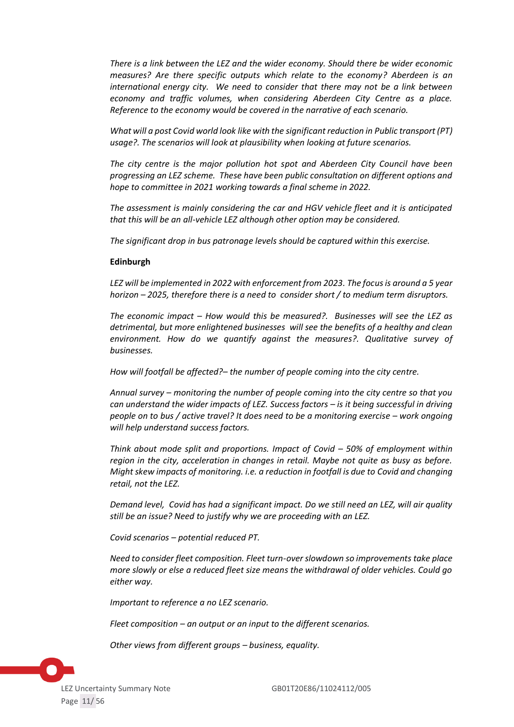*There is a link between the LEZ and the wider economy. Should there be wider economic measures? Are there specific outputs which relate to the economy? Aberdeen is an international energy city. We need to consider that there may not be a link between economy and traffic volumes, when considering Aberdeen City Centre as a place. Reference to the economy would be covered in the narrative of each scenario.*

*What will a post Covid world look like with the significant reduction in Public transport (PT) usage?. The scenarios will look at plausibility when looking at future scenarios.*

*The city centre is the major pollution hot spot and Aberdeen City Council have been progressing an LEZ scheme. These have been public consultation on different options and hope to committee in 2021 working towards a final scheme in 2022.*

*The assessment is mainly considering the car and HGV vehicle fleet and it is anticipated that this will be an all-vehicle LEZ although other option may be considered.*

*The significant drop in bus patronage levels should be captured within this exercise.*

#### **Edinburgh**

*LEZ will be implemented in 2022 with enforcement from 2023. The focus is around a 5 year horizon – 2025, therefore there is a need to consider short / to medium term disruptors.*

*The economic impact – How would this be measured?. Businesses will see the LEZ as detrimental, but more enlightened businesses will see the benefits of a healthy and clean environment. How do we quantify against the measures?. Qualitative survey of businesses.*

*How will footfall be affected?– the number of people coming into the city centre.* 

*Annual survey – monitoring the number of people coming into the city centre so that you can understand the wider impacts of LEZ. Success factors – is it being successful in driving people on to bus / active travel? It does need to be a monitoring exercise – work ongoing will help understand success factors.*

*Think about mode split and proportions. Impact of Covid – 50% of employment within region in the city, acceleration in changes in retail. Maybe not quite as busy as before. Might skew impacts of monitoring. i.e. a reduction in footfall is due to Covid and changing retail, not the LEZ.* 

*Demand level, Covid has had a significant impact. Do we still need an LEZ, will air quality still be an issue? Need to justify why we are proceeding with an LEZ.*

*Covid scenarios – potential reduced PT.*

*Need to consider fleet composition. Fleet turn-over slowdown so improvements take place more slowly or else a reduced fleet size means the withdrawal of older vehicles. Could go either way.*

*Important to reference a no LEZ scenario.*

*Fleet composition – an output or an input to the different scenarios.* 

*Other views from different groups – business, equality.*

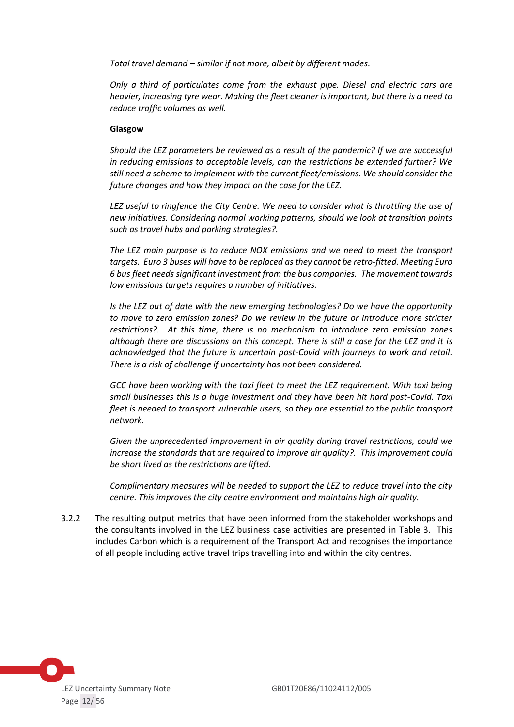*Total travel demand – similar if not more, albeit by different modes.*

*Only a third of particulates come from the exhaust pipe. Diesel and electric cars are heavier, increasing tyre wear. Making the fleet cleaner is important, but there is a need to reduce traffic volumes as well.*

#### **Glasgow**

*Should the LEZ parameters be reviewed as a result of the pandemic? If we are successful in reducing emissions to acceptable levels, can the restrictions be extended further? We still need a scheme to implement with the current fleet/emissions. We should consider the future changes and how they impact on the case for the LEZ.*

*LEZ useful to ringfence the City Centre. We need to consider what is throttling the use of new initiatives. Considering normal working patterns, should we look at transition points such as travel hubs and parking strategies?.* 

*The LEZ main purpose is to reduce NOX emissions and we need to meet the transport targets. Euro 3 buses will have to be replaced as they cannot be retro-fitted. Meeting Euro 6 bus fleet needs significant investment from the bus companies. The movement towards low emissions targets requires a number of initiatives.*

*Is the LEZ out of date with the new emerging technologies? Do we have the opportunity to move to zero emission zones? Do we review in the future or introduce more stricter restrictions?. At this time, there is no mechanism to introduce zero emission zones although there are discussions on this concept. There is still a case for the LEZ and it is acknowledged that the future is uncertain post-Covid with journeys to work and retail. There is a risk of challenge if uncertainty has not been considered.*

*GCC have been working with the taxi fleet to meet the LEZ requirement. With taxi being small businesses this is a huge investment and they have been hit hard post-Covid. Taxi fleet is needed to transport vulnerable users, so they are essential to the public transport network.*

*Given the unprecedented improvement in air quality during travel restrictions, could we increase the standards that are required to improve air quality?. This improvement could be short lived as the restrictions are lifted.*

*Complimentary measures will be needed to support the LEZ to reduce travel into the city centre. This improves the city centre environment and maintains high air quality.*

3.2.2 The resulting output metrics that have been informed from the stakeholder workshops and the consultants involved in the LEZ business case activities are presented in Table 3. This includes Carbon which is a requirement of the Transport Act and recognises the importance of all people including active travel trips travelling into and within the city centres.

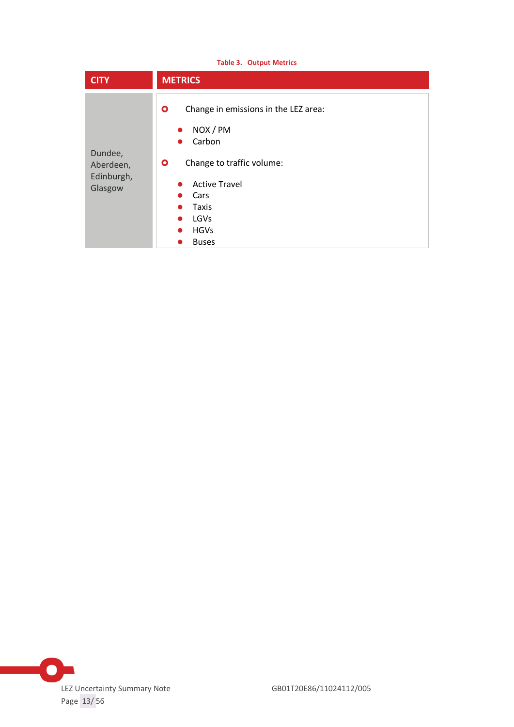| <b>Table 3. Output Metrics</b>                |                                                                                                                                                                                                           |  |
|-----------------------------------------------|-----------------------------------------------------------------------------------------------------------------------------------------------------------------------------------------------------------|--|
| <b>CITY</b>                                   | <b>METRICS</b>                                                                                                                                                                                            |  |
| Dundee,<br>Aberdeen,<br>Edinburgh,<br>Glasgow | Change in emissions in the LEZ area:<br>$\bullet$<br>NOX / PM<br>Carbon<br>Change to traffic volume:<br>$\mathbf{o}$<br><b>Active Travel</b><br>Cars<br>Taxis<br>LGVs<br><b>HGVs</b><br>●<br><b>Buses</b> |  |

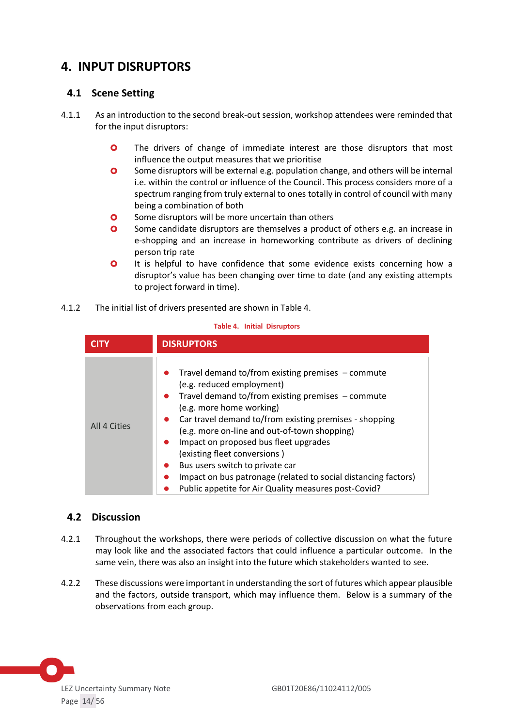# <span id="page-13-0"></span>**4. INPUT DISRUPTORS**

# <span id="page-13-1"></span>**4.1 Scene Setting**

- 4.1.1 As an introduction to the second break-out session, workshop attendees were reminded that for the input disruptors:
	- **O** The drivers of change of immediate interest are those disruptors that most influence the output measures that we prioritise
	- **O** Some disruptors will be external e.g. population change, and others will be internal i.e. within the control or influence of the Council. This process considers more of a spectrum ranging from truly external to ones totally in control of council with many being a combination of both
	- **O** Some disruptors will be more uncertain than others
	- **O** Some candidate disruptors are themselves a product of others e.g. an increase in e-shopping and an increase in homeworking contribute as drivers of declining person trip rate
	- **O** It is helpful to have confidence that some evidence exists concerning how a disruptor's value has been changing over time to date (and any existing attempts to project forward in time).

### 4.1.2 The initial list of drivers presented are shown in Table 4.

|              | <b>DISRUPTORS</b>                                                                                                                                                                                                                                                                                                                                                                                                                                                                                                 |
|--------------|-------------------------------------------------------------------------------------------------------------------------------------------------------------------------------------------------------------------------------------------------------------------------------------------------------------------------------------------------------------------------------------------------------------------------------------------------------------------------------------------------------------------|
| All 4 Cities | Travel demand to/from existing premises $-$ commute<br>(e.g. reduced employment)<br>Travel demand to/from existing premises - commute<br>(e.g. more home working)<br>Car travel demand to/from existing premises - shopping<br>(e.g. more on-line and out-of-town shopping)<br>Impact on proposed bus fleet upgrades<br>(existing fleet conversions)<br>Bus users switch to private car<br>Impact on bus patronage (related to social distancing factors)<br>Public appetite for Air Quality measures post-Covid? |

#### **Table 4. Initial Disruptors**

### <span id="page-13-2"></span>**4.2 Discussion**

- 4.2.1 Throughout the workshops, there were periods of collective discussion on what the future may look like and the associated factors that could influence a particular outcome. In the same vein, there was also an insight into the future which stakeholders wanted to see.
- 4.2.2 These discussions were important in understanding the sort of futures which appear plausible and the factors, outside transport, which may influence them. Below is a summary of the observations from each group.

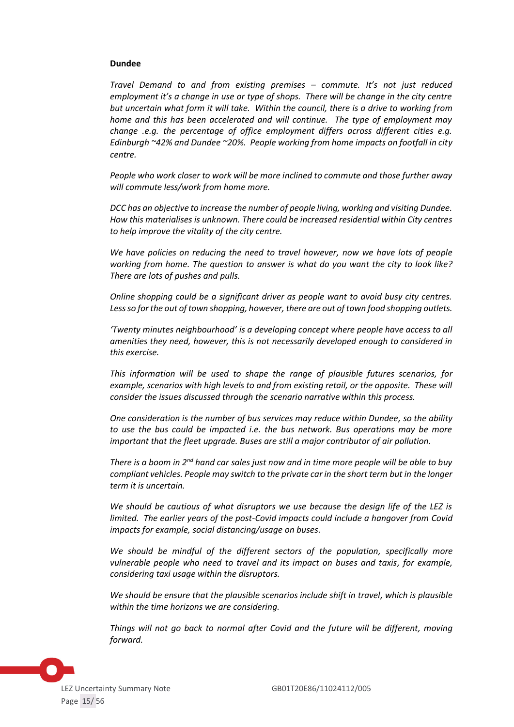#### **Dundee**

*Travel Demand to and from existing premises – commute. It's not just reduced employment it's a change in use or type of shops. There will be change in the city centre but uncertain what form it will take. Within the council, there is a drive to working from home and this has been accelerated and will continue. The type of employment may change .e.g. the percentage of office employment differs across different cities e.g. Edinburgh ~42% and Dundee ~20%. People working from home impacts on footfall in city centre.*

*People who work closer to work will be more inclined to commute and those further away will commute less/work from home more.*

*DCC has an objective to increase the number of people living, working and visiting Dundee. How this materialises is unknown. There could be increased residential within City centres to help improve the vitality of the city centre.*

*We have policies on reducing the need to travel however, now we have lots of people working from home. The question to answer is what do you want the city to look like? There are lots of pushes and pulls.*

*Online shopping could be a significant driver as people want to avoid busy city centres. Less so for the out of town shopping, however, there are out of town food shopping outlets.*

*'Twenty minutes neighbourhood' is a developing concept where people have access to all amenities they need, however, this is not necessarily developed enough to considered in this exercise.*

*This information will be used to shape the range of plausible futures scenarios, for example, scenarios with high levels to and from existing retail, or the opposite. These will consider the issues discussed through the scenario narrative within this process.*

*One consideration is the number of bus services may reduce within Dundee, so the ability to use the bus could be impacted i.e. the bus network. Bus operations may be more important that the fleet upgrade. Buses are still a major contributor of air pollution.*

*There is a boom in 2nd hand car sales just now and in time more people will be able to buy compliant vehicles. People may switch to the private car in the short term but in the longer term it is uncertain.*

*We should be cautious of what disruptors we use because the design life of the LEZ is limited. The earlier years of the post-Covid impacts could include a hangover from Covid impacts for example, social distancing/usage on buses.*

*We should be mindful of the different sectors of the population, specifically more vulnerable people who need to travel and its impact on buses and taxis, for example, considering taxi usage within the disruptors.*

*We should be ensure that the plausible scenarios include shift in travel, which is plausible within the time horizons we are considering.*

*Things will not go back to normal after Covid and the future will be different, moving forward.*

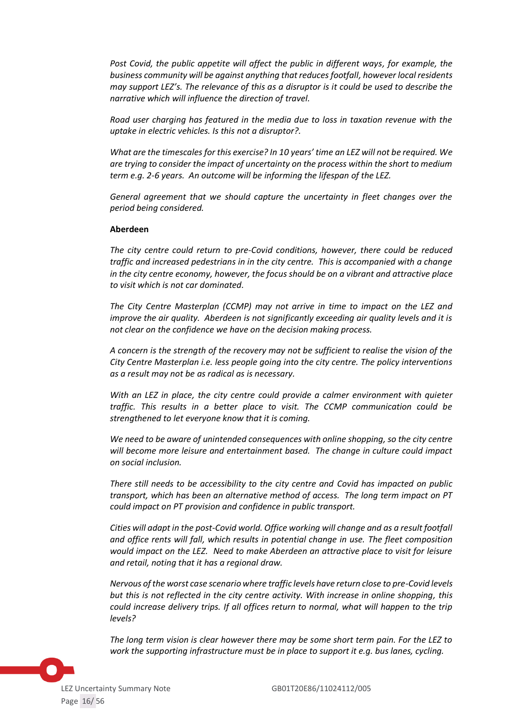*Post Covid, the public appetite will affect the public in different ways, for example, the business community will be against anything that reduces footfall, however local residents may support LEZ's. The relevance of this as a disruptor is it could be used to describe the narrative which will influence the direction of travel.*

*Road user charging has featured in the media due to loss in taxation revenue with the uptake in electric vehicles. Is this not a disruptor?.*

*What are the timescales for this exercise? In 10 years' time an LEZ will not be required. We are trying to consider the impact of uncertainty on the process within the short to medium term e.g. 2-6 years. An outcome will be informing the lifespan of the LEZ.*

*General agreement that we should capture the uncertainty in fleet changes over the period being considered.*

#### **Aberdeen**

*The city centre could return to pre-Covid conditions, however, there could be reduced traffic and increased pedestrians in in the city centre. This is accompanied with a change in the city centre economy, however, the focus should be on a vibrant and attractive place to visit which is not car dominated.*

*The City Centre Masterplan (CCMP) may not arrive in time to impact on the LEZ and improve the air quality. Aberdeen is not significantly exceeding air quality levels and it is not clear on the confidence we have on the decision making process.*

*A concern is the strength of the recovery may not be sufficient to realise the vision of the City Centre Masterplan i.e. less people going into the city centre. The policy interventions as a result may not be as radical as is necessary.*

*With an LEZ in place, the city centre could provide a calmer environment with quieter traffic. This results in a better place to visit. The CCMP communication could be strengthened to let everyone know that it is coming.*

*We need to be aware of unintended consequences with online shopping, so the city centre will become more leisure and entertainment based. The change in culture could impact on social inclusion.*

*There still needs to be accessibility to the city centre and Covid has impacted on public transport, which has been an alternative method of access. The long term impact on PT could impact on PT provision and confidence in public transport.*

*Cities will adapt in the post-Covid world. Office working will change and as a result footfall and office rents will fall, which results in potential change in use. The fleet composition would impact on the LEZ. Need to make Aberdeen an attractive place to visit for leisure and retail, noting that it has a regional draw.*

*Nervous of the worst case scenario where traffic levels have return close to pre-Covid levels but this is not reflected in the city centre activity. With increase in online shopping, this could increase delivery trips. If all offices return to normal, what will happen to the trip levels?*

*The long term vision is clear however there may be some short term pain. For the LEZ to work the supporting infrastructure must be in place to support it e.g. bus lanes, cycling.*

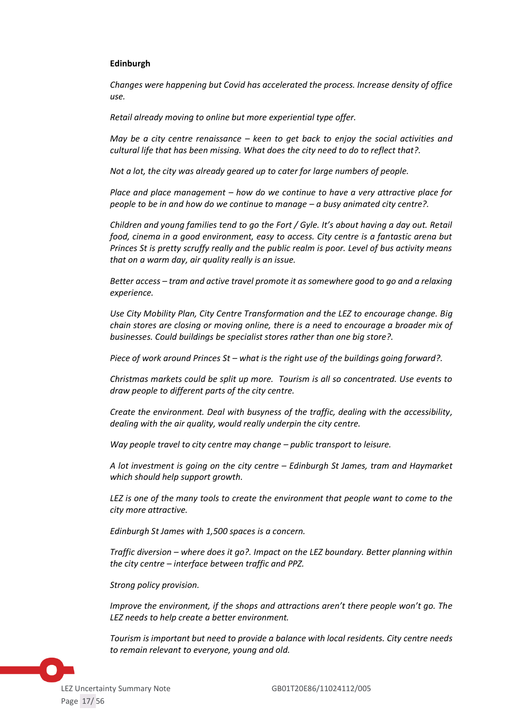### **Edinburgh**

*Changes were happening but Covid has accelerated the process. Increase density of office use.*

*Retail already moving to online but more experiential type offer.* 

*May be a city centre renaissance – keen to get back to enjoy the social activities and cultural life that has been missing. What does the city need to do to reflect that?.*

*Not a lot, the city was already geared up to cater for large numbers of people.*

*Place and place management – how do we continue to have a very attractive place for people to be in and how do we continue to manage – a busy animated city centre?.*

*Children and young families tend to go the Fort / Gyle. It's about having a day out. Retail food, cinema in a good environment, easy to access. City centre is a fantastic arena but Princes St is pretty scruffy really and the public realm is poor. Level of bus activity means that on a warm day, air quality really is an issue.*

*Better access – tram and active travel promote it as somewhere good to go and a relaxing experience.*

*Use City Mobility Plan, City Centre Transformation and the LEZ to encourage change. Big chain stores are closing or moving online, there is a need to encourage a broader mix of businesses. Could buildings be specialist stores rather than one big store?.*

*Piece of work around Princes St – what is the right use of the buildings going forward?.*

*Christmas markets could be split up more. Tourism is all so concentrated. Use events to draw people to different parts of the city centre.*

*Create the environment. Deal with busyness of the traffic, dealing with the accessibility, dealing with the air quality, would really underpin the city centre.*

*Way people travel to city centre may change – public transport to leisure.* 

*A lot investment is going on the city centre – Edinburgh St James, tram and Haymarket which should help support growth.*

*LEZ is one of the many tools to create the environment that people want to come to the city more attractive.* 

*Edinburgh St James with 1,500 spaces is a concern.*

*Traffic diversion – where does it go?. Impact on the LEZ boundary. Better planning within the city centre – interface between traffic and PPZ.*

*Strong policy provision.*

*Improve the environment, if the shops and attractions aren't there people won't go. The LEZ needs to help create a better environment.*

*Tourism is important but need to provide a balance with local residents. City centre needs to remain relevant to everyone, young and old.*

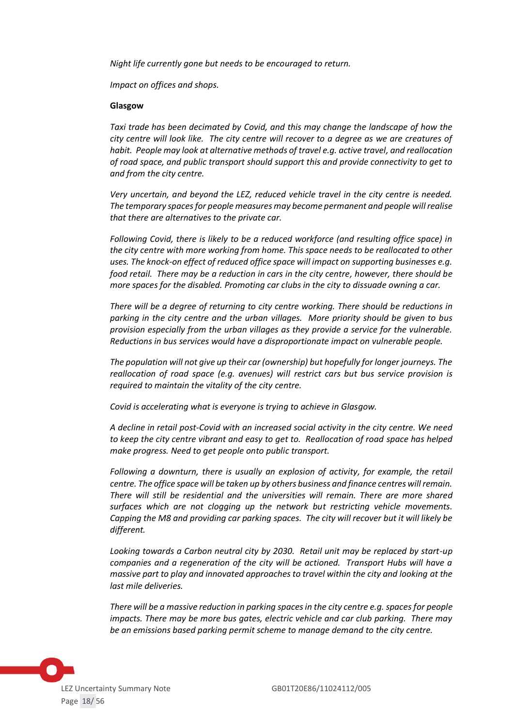*Night life currently gone but needs to be encouraged to return.*

*Impact on offices and shops.*

#### **Glasgow**

*Taxi trade has been decimated by Covid, and this may change the landscape of how the city centre will look like. The city centre will recover to a degree as we are creatures of habit. People may look at alternative methods of travel e.g. active travel, and reallocation of road space, and public transport should support this and provide connectivity to get to and from the city centre.*

*Very uncertain, and beyond the LEZ, reduced vehicle travel in the city centre is needed. The temporary spaces for people measures may become permanent and people will realise that there are alternatives to the private car.*

*Following Covid, there is likely to be a reduced workforce (and resulting office space) in the city centre with more working from home. This space needs to be reallocated to other uses. The knock-on effect of reduced office space will impact on supporting businesses e.g. food retail. There may be a reduction in cars in the city centre, however, there should be more spaces for the disabled. Promoting car clubs in the city to dissuade owning a car.* 

*There will be a degree of returning to city centre working. There should be reductions in parking in the city centre and the urban villages. More priority should be given to bus provision especially from the urban villages as they provide a service for the vulnerable. Reductions in bus services would have a disproportionate impact on vulnerable people.*

*The population will not give up their car (ownership) but hopefully for longer journeys. The reallocation of road space (e.g. avenues) will restrict cars but bus service provision is required to maintain the vitality of the city centre.*

*Covid is accelerating what is everyone is trying to achieve in Glasgow.*

*A decline in retail post-Covid with an increased social activity in the city centre. We need to keep the city centre vibrant and easy to get to. Reallocation of road space has helped make progress. Need to get people onto public transport.*

*Following a downturn, there is usually an explosion of activity, for example, the retail centre. The office space will be taken up by others business and finance centres will remain. There will still be residential and the universities will remain. There are more shared surfaces which are not clogging up the network but restricting vehicle movements. Capping the M8 and providing car parking spaces. The city will recover but it will likely be different.*

*Looking towards a Carbon neutral city by 2030. Retail unit may be replaced by start-up companies and a regeneration of the city will be actioned. Transport Hubs will have a massive part to play and innovated approaches to travel within the city and looking at the last mile deliveries.*

*There will be a massive reduction in parking spaces in the city centre e.g. spaces for people impacts. There may be more bus gates, electric vehicle and car club parking. There may be an emissions based parking permit scheme to manage demand to the city centre.*

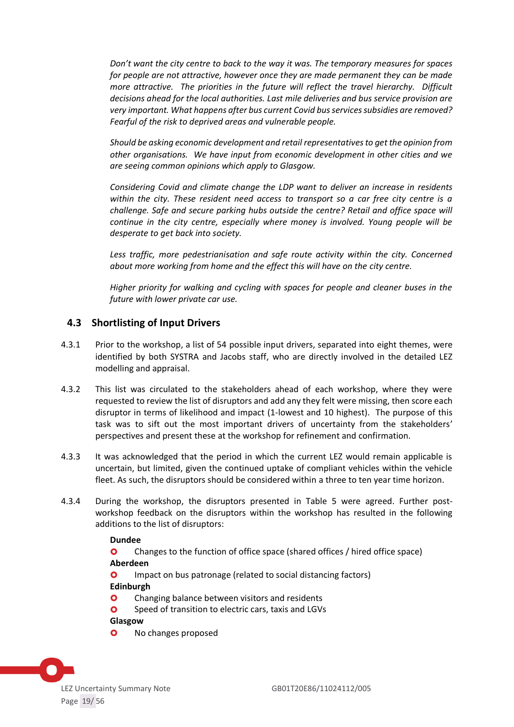*Don't want the city centre to back to the way it was. The temporary measures for spaces for people are not attractive, however once they are made permanent they can be made more attractive. The priorities in the future will reflect the travel hierarchy. Difficult decisions ahead for the local authorities. Last mile deliveries and bus service provision are very important. What happens after bus current Covid bus services subsidies are removed? Fearful of the risk to deprived areas and vulnerable people.*

*Should be asking economic development and retail representatives to get the opinion from other organisations. We have input from economic development in other cities and we are seeing common opinions which apply to Glasgow.*

*Considering Covid and climate change the LDP want to deliver an increase in residents within the city. These resident need access to transport so a car free city centre is a challenge. Safe and secure parking hubs outside the centre? Retail and office space will continue in the city centre, especially where money is involved. Young people will be desperate to get back into society.*

Less traffic, more pedestrianisation and safe route activity within the city. Concerned *about more working from home and the effect this will have on the city centre.*

*Higher priority for walking and cycling with spaces for people and cleaner buses in the future with lower private car use.*

### <span id="page-18-0"></span>**4.3 Shortlisting of Input Drivers**

- 4.3.1 Prior to the workshop, a list of 54 possible input drivers, separated into eight themes, were identified by both SYSTRA and Jacobs staff, who are directly involved in the detailed LEZ modelling and appraisal.
- 4.3.2 This list was circulated to the stakeholders ahead of each workshop, where they were requested to review the list of disruptors and add any they felt were missing, then score each disruptor in terms of likelihood and impact (1-lowest and 10 highest). The purpose of this task was to sift out the most important drivers of uncertainty from the stakeholders' perspectives and present these at the workshop for refinement and confirmation.
- 4.3.3 It was acknowledged that the period in which the current LEZ would remain applicable is uncertain, but limited, given the continued uptake of compliant vehicles within the vehicle fleet. As such, the disruptors should be considered within a three to ten year time horizon.
- 4.3.4 During the workshop, the disruptors presented in Table 5 were agreed. Further postworkshop feedback on the disruptors within the workshop has resulted in the following additions to the list of disruptors:

#### **Dundee**

**O** Changes to the function of office space (shared offices / hired office space) **Aberdeen**

**O** Impact on bus patronage (related to social distancing factors) **Edinburgh**

- **O** Changing balance between visitors and residents
- **O** Speed of transition to electric cars, taxis and LGVs

#### **Glasgow**

**O** No changes proposed

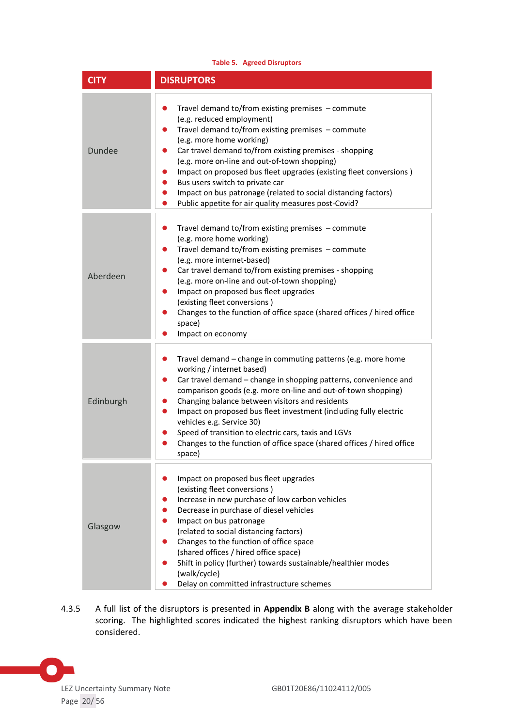| <b>Table 5. Agreed Disruptors</b> |                                                                                                                                                                                                                                                                                                                                                                                                                                                                                                                                                                  |  |
|-----------------------------------|------------------------------------------------------------------------------------------------------------------------------------------------------------------------------------------------------------------------------------------------------------------------------------------------------------------------------------------------------------------------------------------------------------------------------------------------------------------------------------------------------------------------------------------------------------------|--|
| <b>CITY</b>                       | <b>DISRUPTORS</b>                                                                                                                                                                                                                                                                                                                                                                                                                                                                                                                                                |  |
| <b>Dundee</b>                     | Travel demand to/from existing premises - commute<br>$\bullet$<br>(e.g. reduced employment)<br>Travel demand to/from existing premises - commute<br>$\bullet$<br>(e.g. more home working)<br>Car travel demand to/from existing premises - shopping<br>$\bullet$<br>(e.g. more on-line and out-of-town shopping)<br>Impact on proposed bus fleet upgrades (existing fleet conversions)<br>$\bullet$<br>Bus users switch to private car<br>Impact on bus patronage (related to social distancing factors)<br>Public appetite for air quality measures post-Covid? |  |
| Aberdeen                          | Travel demand to/from existing premises - commute<br>$\bullet$<br>(e.g. more home working)<br>Travel demand to/from existing premises - commute<br>$\bullet$<br>(e.g. more internet-based)<br>Car travel demand to/from existing premises - shopping<br>$\bullet$<br>(e.g. more on-line and out-of-town shopping)<br>Impact on proposed bus fleet upgrades<br>$\bullet$<br>(existing fleet conversions)<br>Changes to the function of office space (shared offices / hired office<br>space)<br>Impact on economy                                                 |  |
| Edinburgh                         | Travel demand – change in commuting patterns (e.g. more home<br>$\bullet$<br>working / internet based)<br>Car travel demand – change in shopping patterns, convenience and<br>$\bullet$<br>comparison goods (e.g. more on-line and out-of-town shopping)<br>Changing balance between visitors and residents<br>Impact on proposed bus fleet investment (including fully electric<br>vehicles e.g. Service 30)<br>Speed of transition to electric cars, taxis and LGVs<br>Changes to the function of office space (shared offices / hired office<br>space)        |  |
| Glasgow                           | Impact on proposed bus fleet upgrades<br>(existing fleet conversions)<br>Increase in new purchase of low carbon vehicles<br>Decrease in purchase of diesel vehicles<br>Impact on bus patronage<br>(related to social distancing factors)<br>Changes to the function of office space<br>(shared offices / hired office space)<br>Shift in policy (further) towards sustainable/healthier modes<br>(walk/cycle)<br>Delay on committed infrastructure schemes                                                                                                       |  |

4.3.5 A full list of the disruptors is presented in **Appendix B** along with the average stakeholder scoring. The highlighted scores indicated the highest ranking disruptors which have been considered.

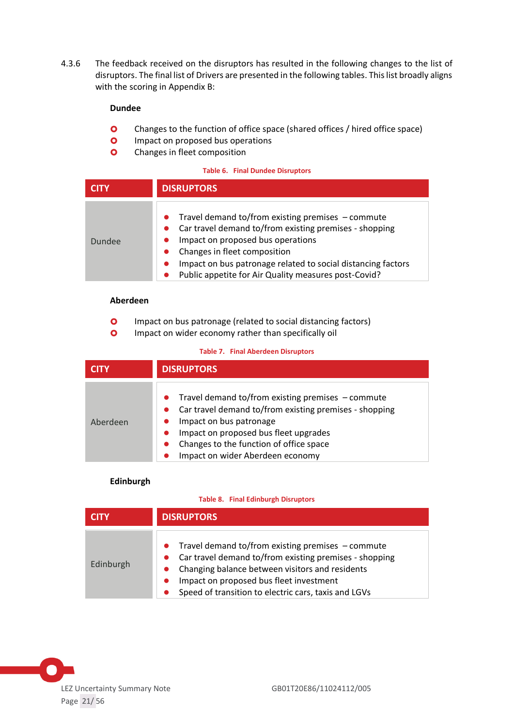4.3.6 The feedback received on the disruptors has resulted in the following changes to the list of disruptors. The final list of Drivers are presented in the following tables. This list broadly aligns with the scoring in Appendix B:

### **Dundee**

- **O** Changes to the function of office space (shared offices / hired office space)
- **O** Impact on proposed bus operations
- **O** Changes in fleet composition

#### **Table 6. Final Dundee Disruptors**

|        | <b>DISRUPTORS</b>                                                                                                                                                                                                                                                                                            |
|--------|--------------------------------------------------------------------------------------------------------------------------------------------------------------------------------------------------------------------------------------------------------------------------------------------------------------|
| Dundee | • Travel demand to/from existing premises $-$ commute<br>Car travel demand to/from existing premises - shopping<br>Impact on proposed bus operations<br>Changes in fleet composition<br>Impact on bus patronage related to social distancing factors<br>Public appetite for Air Quality measures post-Covid? |

### **Aberdeen**

- **O** Impact on bus patronage (related to social distancing factors)
- **O** Impact on wider economy rather than specifically oil

#### **Table 7. Final Aberdeen Disruptors**

| <b>QINT</b> | <b>DISRUPTORS</b>                                                                                                                                                                                                                                                                          |  |
|-------------|--------------------------------------------------------------------------------------------------------------------------------------------------------------------------------------------------------------------------------------------------------------------------------------------|--|
| Aberdeen    | Travel demand to/from existing premises $-$ commute<br>$\bullet$<br>Car travel demand to/from existing premises - shopping<br>Impact on bus patronage<br>Impact on proposed bus fleet upgrades<br>$\bullet$<br>Changes to the function of office space<br>Impact on wider Aberdeen economy |  |

#### **Edinburgh**

#### **Table 8. Final Edinburgh Disruptors**

|           | <b>DISRUPTORS</b>                                                                                                                                                                                                                                                                  |  |
|-----------|------------------------------------------------------------------------------------------------------------------------------------------------------------------------------------------------------------------------------------------------------------------------------------|--|
| Edinburgh | • Travel demand to/from existing premises $-$ commute<br>Car travel demand to/from existing premises - shopping<br>Changing balance between visitors and residents<br>Impact on proposed bus fleet investment<br>$\bullet$<br>Speed of transition to electric cars, taxis and LGVs |  |

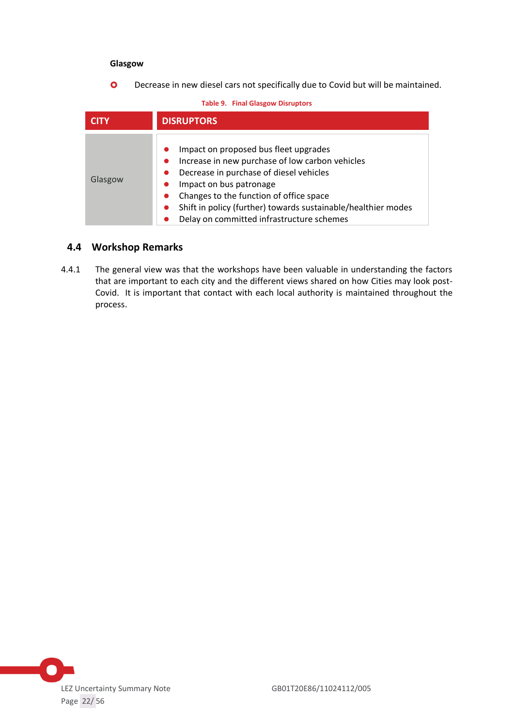#### **Glasgow**

**O** Decrease in new diesel cars not specifically due to Covid but will be maintained.

#### **Table 9. Final Glasgow Disruptors**

|         | <b>DISRUPTORS</b>                                                                                                                                                                                                                                                                                                                                                           |  |
|---------|-----------------------------------------------------------------------------------------------------------------------------------------------------------------------------------------------------------------------------------------------------------------------------------------------------------------------------------------------------------------------------|--|
| Glasgow | Impact on proposed bus fleet upgrades<br>Increase in new purchase of low carbon vehicles<br>$\bullet$<br>Decrease in purchase of diesel vehicles<br>$\bullet$<br>Impact on bus patronage<br>$\bullet$<br>Changes to the function of office space<br>Shift in policy (further) towards sustainable/healthier modes<br>$\bullet$<br>Delay on committed infrastructure schemes |  |

### <span id="page-21-0"></span>**4.4 Workshop Remarks**

4.4.1 The general view was that the workshops have been valuable in understanding the factors that are important to each city and the different views shared on how Cities may look post-Covid. It is important that contact with each local authority is maintained throughout the process.

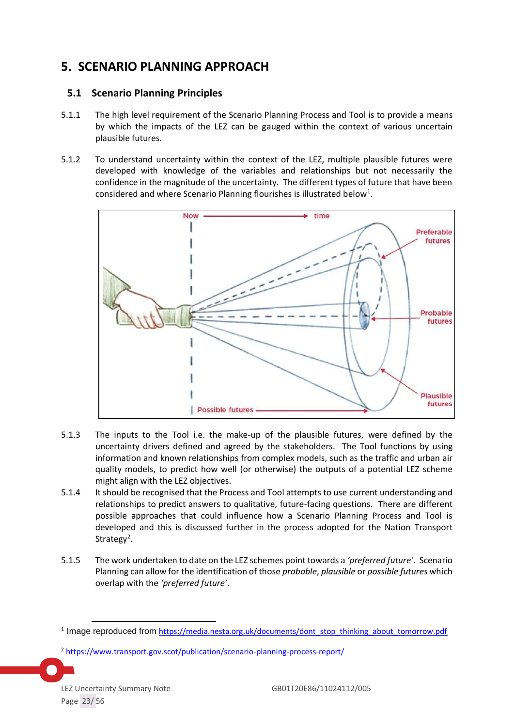# <span id="page-22-0"></span>**5. SCENARIO PLANNING APPROACH**

# <span id="page-22-1"></span>**5.1 Scenario Planning Principles**

- 5.1.1 The high level requirement of the Scenario Planning Process and Tool is to provide a means by which the impacts of the LEZ can be gauged within the context of various uncertain plausible futures.
- 5.1.2 To understand uncertainty within the context of the LEZ, multiple plausible futures were developed with knowledge of the variables and relationships but not necessarily the confidence in the magnitude of the uncertainty. The different types of future that have been considered and where Scenario Planning flourishes is illustrated below<sup>1</sup>.



- 5.1.3 The inputs to the Tool i.e. the make-up of the plausible futures, were defined by the uncertainty drivers defined and agreed by the stakeholders. The Tool functions by using information and known relationships from complex models, such as the traffic and urban air quality models, to predict how well (or otherwise) the outputs of a potential LEZ scheme might align with the LEZ objectives.
- 5.1.4 It should be recognised that the Process and Tool attempts to use current understanding and relationships to predict answers to qualitative, future-facing questions. There are different possible approaches that could influence how a Scenario Planning Process and Tool is developed and this is discussed further in the process adopted for the Nation Transport Strategy<sup>2</sup>.
- 5.1.5 The work undertaken to date on the LEZ schemes point towards a *'preferred future'*. Scenario Planning can allow for the identification of those *probable*, *plausible* or *possible futures* which overlap with the *'preferred future'*.

<sup>&</sup>lt;sup>1</sup> Image reproduced from [https://media.nesta.org.uk/documents/dont\\_stop\\_thinking\\_about\\_tomorrow.pdf](https://media.nesta.org.uk/documents/dont_stop_thinking_about_tomorrow.pdf)

<sup>2</sup> <https://www.transport.gov.scot/publication/scenario-planning-process-report/>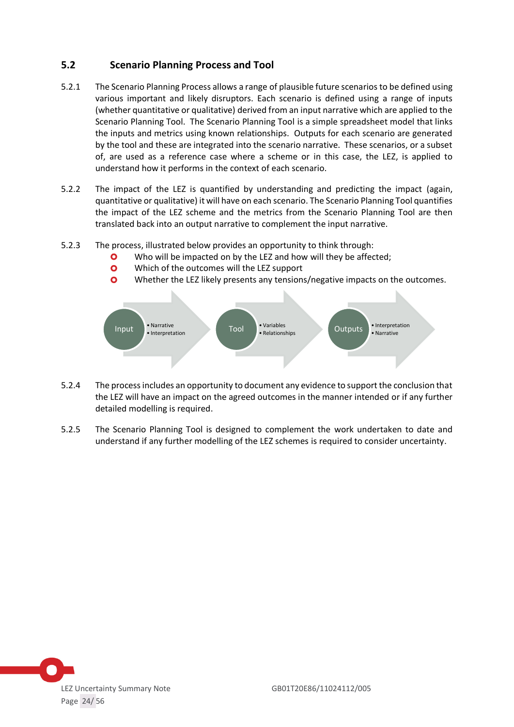# <span id="page-23-0"></span>**5.2 Scenario Planning Process and Tool**

- 5.2.1 The Scenario Planning Process allows a range of plausible future scenarios to be defined using various important and likely disruptors. Each scenario is defined using a range of inputs (whether quantitative or qualitative) derived from an input narrative which are applied to the Scenario Planning Tool. The Scenario Planning Tool is a simple spreadsheet model that links the inputs and metrics using known relationships. Outputs for each scenario are generated by the tool and these are integrated into the scenario narrative. These scenarios, or a subset of, are used as a reference case where a scheme or in this case, the LEZ, is applied to understand how it performs in the context of each scenario.
- 5.2.2 The impact of the LEZ is quantified by understanding and predicting the impact (again, quantitative or qualitative) it will have on each scenario. The Scenario Planning Tool quantifies the impact of the LEZ scheme and the metrics from the Scenario Planning Tool are then translated back into an output narrative to complement the input narrative.
- 5.2.3 The process, illustrated below provides an opportunity to think through:
	- **O** Who will be impacted on by the LEZ and how will they be affected;
	- **O** Which of the outcomes will the LEZ support
	- **O** Whether the LEZ likely presents any tensions/negative impacts on the outcomes.



- 5.2.4 The process includes an opportunity to document any evidence to support the conclusion that the LEZ will have an impact on the agreed outcomes in the manner intended or if any further detailed modelling is required.
- 5.2.5 The Scenario Planning Tool is designed to complement the work undertaken to date and understand if any further modelling of the LEZ schemes is required to consider uncertainty.

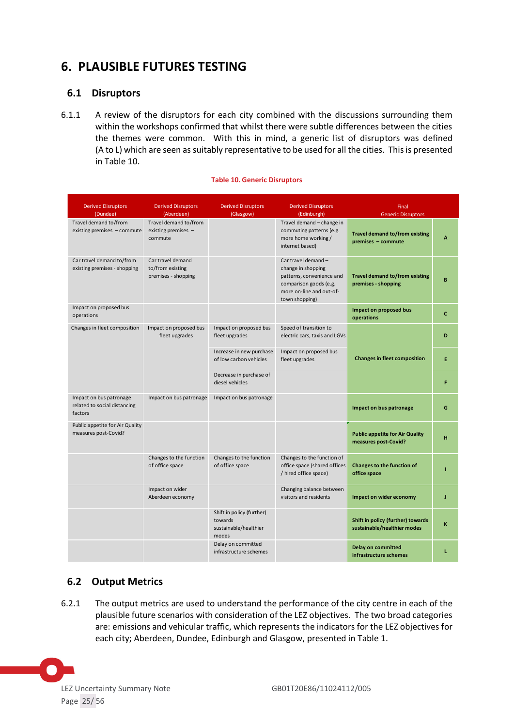# <span id="page-24-0"></span>**6. PLAUSIBLE FUTURES TESTING**

# <span id="page-24-1"></span>**6.1 Disruptors**

6.1.1 A review of the disruptors for each city combined with the discussions surrounding them within the workshops confirmed that whilst there were subtle differences between the cities the themes were common. With this in mind, a generic list of disruptors was defined (A to L) which are seen as suitably representative to be used for all the cities. This is presented in Table 10.

#### **Table 10. Generic Disruptors**

| <b>Derived Disruptors</b><br>(Dundee)                              | <b>Derived Disruptors</b><br>(Aberdeen)                      | <b>Derived Disruptors</b><br>(Glasgow)                                 | <b>Derived Disruptors</b><br>(Edinburgh)                                                                                                       | Final<br><b>Generic Disruptors</b>                               |   |
|--------------------------------------------------------------------|--------------------------------------------------------------|------------------------------------------------------------------------|------------------------------------------------------------------------------------------------------------------------------------------------|------------------------------------------------------------------|---|
| Travel demand to/from<br>existing premises - commute               | Travel demand to/from<br>existing premises -<br>commute      |                                                                        | Travel demand - change in<br>commuting patterns (e.g.<br>more home working /<br>internet based)                                                | <b>Travel demand to/from existing</b><br>premises - commute      | A |
| Car travel demand to/from<br>existing premises - shopping          | Car travel demand<br>to/from existing<br>premises - shopping |                                                                        | Car travel demand -<br>change in shopping<br>patterns, convenience and<br>comparison goods (e.g.<br>more on-line and out-of-<br>town shopping) | <b>Travel demand to/from existing</b><br>premises - shopping     | B |
| Impact on proposed bus<br>operations                               |                                                              |                                                                        |                                                                                                                                                | Impact on proposed bus<br>operations                             | c |
| Changes in fleet composition                                       | Impact on proposed bus<br>fleet upgrades                     | Impact on proposed bus<br>fleet upgrades                               | Speed of transition to<br>electric cars, taxis and LGVs                                                                                        |                                                                  | D |
|                                                                    |                                                              | Increase in new purchase<br>of low carbon vehicles                     | Impact on proposed bus<br>fleet upgrades                                                                                                       | <b>Changes in fleet composition</b>                              | E |
|                                                                    |                                                              | Decrease in purchase of<br>diesel vehicles                             |                                                                                                                                                |                                                                  | F |
| Impact on bus patronage<br>related to social distancing<br>factors | Impact on bus patronage                                      | Impact on bus patronage                                                |                                                                                                                                                | Impact on bus patronage                                          | G |
| Public appetite for Air Quality<br>measures post-Covid?            |                                                              |                                                                        |                                                                                                                                                | <b>Public appetite for Air Quality</b><br>measures post-Covid?   | н |
|                                                                    | Changes to the function<br>of office space                   | Changes to the function<br>of office space                             | Changes to the function of<br>office space (shared offices<br>/ hired office space)                                                            | Changes to the function of<br>office space                       |   |
|                                                                    | Impact on wider<br>Aberdeen economy                          |                                                                        | Changing balance between<br>visitors and residents                                                                                             | Impact on wider economy                                          | J |
|                                                                    |                                                              | Shift in policy (further)<br>towards<br>sustainable/healthier<br>modes |                                                                                                                                                | Shift in policy (further) towards<br>sustainable/healthier modes | K |
|                                                                    |                                                              | Delay on committed<br>infrastructure schemes                           |                                                                                                                                                | <b>Delay on committed</b><br>infrastructure schemes              | L |

# <span id="page-24-2"></span>**6.2 Output Metrics**

6.2.1 The output metrics are used to understand the performance of the city centre in each of the plausible future scenarios with consideration of the LEZ objectives. The two broad categories are: emissions and vehicular traffic, which represents the indicators for the LEZ objectives for each city; Aberdeen, Dundee, Edinburgh and Glasgow, presented in Table 1.

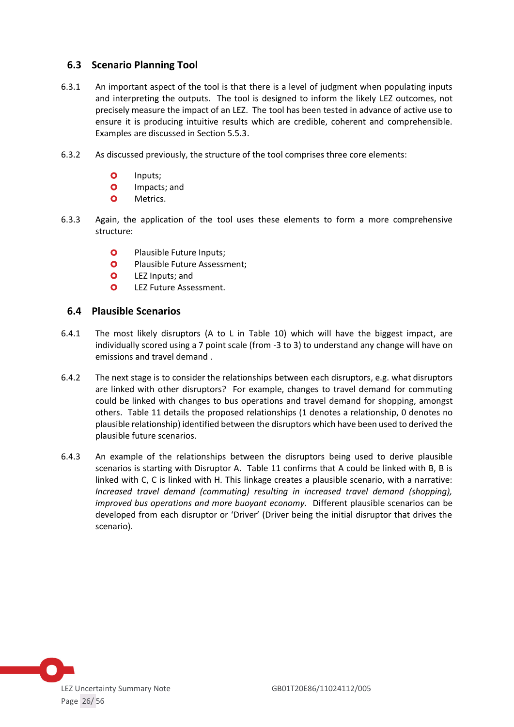### <span id="page-25-0"></span>**6.3 Scenario Planning Tool**

- 6.3.1 An important aspect of the tool is that there is a level of judgment when populating inputs and interpreting the outputs. The tool is designed to inform the likely LEZ outcomes, not precisely measure the impact of an LEZ. The tool has been tested in advance of active use to ensure it is producing intuitive results which are credible, coherent and comprehensible. Examples are discussed in Section 5.5.3.
- 6.3.2 As discussed previously, the structure of the tool comprises three core elements:
	- O Inputs;
	- **O** Impacts; and
	- **O** Metrics.
- 6.3.3 Again, the application of the tool uses these elements to form a more comprehensive structure:
	- **O** Plausible Future Inputs;
	- **O** Plausible Future Assessment;
	- **O** LEZ Inputs; and
	- **O** LEZ Future Assessment.

### <span id="page-25-1"></span>**6.4 Plausible Scenarios**

- 6.4.1 The most likely disruptors (A to L in Table 10) which will have the biggest impact, are individually scored using a 7 point scale (from -3 to 3) to understand any change will have on emissions and travel demand .
- 6.4.2 The next stage is to consider the relationships between each disruptors, e.g. what disruptors are linked with other disruptors? For example, changes to travel demand for commuting could be linked with changes to bus operations and travel demand for shopping, amongst others. Table 11 details the proposed relationships (1 denotes a relationship, 0 denotes no plausible relationship) identified between the disruptors which have been used to derived the plausible future scenarios.
- 6.4.3 An example of the relationships between the disruptors being used to derive plausible scenarios is starting with Disruptor A. Table 11 confirms that A could be linked with B, B is linked with C, C is linked with H. This linkage creates a plausible scenario, with a narrative: *Increased travel demand (commuting) resulting in increased travel demand (shopping), improved bus operations and more buoyant economy.* Different plausible scenarios can be developed from each disruptor or 'Driver' (Driver being the initial disruptor that drives the scenario).

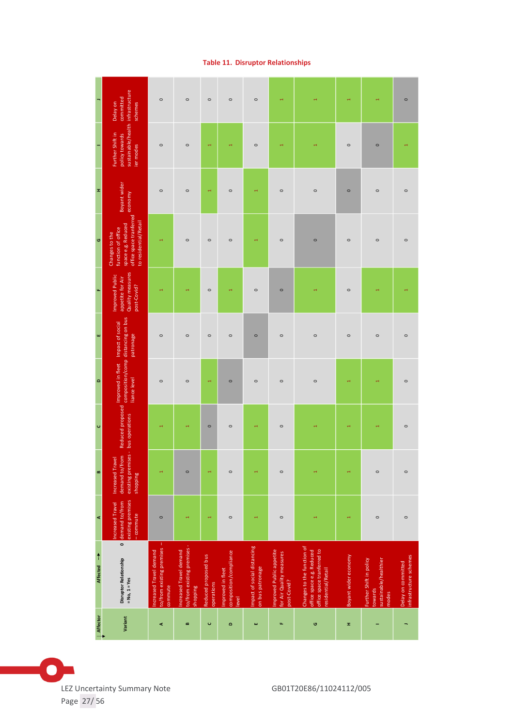| x,<br>$\circ$          | sustainable/health infrastructure<br>committed<br>Delay on<br>schemes<br>Further Shift in<br>policy towards<br>ier modes<br>Boyant wider<br>office space tranferred economy<br>to residential/Retail<br>space e.g. Reduced<br>function of office<br>Changes to the | $\circ$<br>$\circ$<br>$\circ$                                  | $\circ$<br>$\circ$<br>$\circ$<br>$\circ$                           | $\circ$<br>H<br>H<br>$\circ$       | $\circ$<br>$\circ$<br>$\circ$                        | $\circ$<br>$\circ$<br>4                         | ٣<br>$\circ$<br>$\circ$                                             | $\circ$<br>$\circ$                                                                                          | $\circ$<br>$\circ$<br>$\circ$ | $\circ$<br>$\circ$<br>$\circ$                                        |  |
|------------------------|--------------------------------------------------------------------------------------------------------------------------------------------------------------------------------------------------------------------------------------------------------------------|----------------------------------------------------------------|--------------------------------------------------------------------|------------------------------------|------------------------------------------------------|-------------------------------------------------|---------------------------------------------------------------------|-------------------------------------------------------------------------------------------------------------|-------------------------------|----------------------------------------------------------------------|--|
| $\mu_{\rm s}$          | Quality measures<br>Improved Public<br>appetite for Air<br>post-Covid?                                                                                                                                                                                             |                                                                |                                                                    | $\circ$                            |                                                      | $\circ$                                         | $\circ$                                                             |                                                                                                             | $\circ$                       |                                                                      |  |
| ш                      | patronage                                                                                                                                                                                                                                                          | $\circ$                                                        | $\circ$                                                            | $\circ$                            | $\circ$                                              | $\circ$                                         | $\circ$                                                             | $\circ$                                                                                                     | $\circ$                       | $\circ$                                                              |  |
| $\Omega$               | composition/comp distancing on bus<br>liance level                                                                                                                                                                                                                 | $\circ$                                                        | $\circ$                                                            | ÷                                  | $\circ$                                              | $\circ$                                         | $\circ$                                                             | $\circ$                                                                                                     |                               |                                                                      |  |
| $\cup$                 | Reduced proposed Improved in fleet Impact of social                                                                                                                                                                                                                |                                                                | ۳                                                                  | $\circ$                            | $\circ$                                              | $\overline{\phantom{0}}$                        | $\circ$                                                             |                                                                                                             |                               |                                                                      |  |
| $\pmb{\mathsf{m}}$     | existing premises - bus operations<br>demand to/from<br>Increased Travel<br>shopping                                                                                                                                                                               |                                                                | $\circ$                                                            | ٣                                  | $\circ$                                              | H                                               | $\circ$                                                             |                                                                                                             |                               | $\circ$                                                              |  |
| $\blacktriangleleft$   | existing premises<br>demand to/from<br>Increased Travel<br>-commute                                                                                                                                                                                                | $\circ$                                                        |                                                                    | ٣                                  | $\circ$                                              |                                                 | $\circ$                                                             |                                                                                                             |                               | $\circ$                                                              |  |
| Affected $\rightarrow$ | $\bullet$<br><b>Disruptor Relationship</b><br>$= No, 1 = Yes$                                                                                                                                                                                                      | to/from existing premises<br>ncreased Travel demand<br>commute | to/from existing premises -<br>Increased Travel demand<br>shopping | Reduced proposed bus<br>operations | composition/compliance<br>Improved in fleet<br>level | Impact of social distancing<br>on bus patronage | Improved Public appetite<br>for Air Quality measures<br>post-Covid? | Changes to the function of<br>office space tranferred to<br>office space e.g. Reduced<br>residential/Retail | Boyant wider economy          | Further Shift in policy<br>sustainable/healthier<br>towards<br>modes |  |
| Affector               | Variant                                                                                                                                                                                                                                                            | ⋖                                                              | m                                                                  | $\cup$                             | $\circ$                                              | ш                                               | u.                                                                  | G                                                                                                           | x                             |                                                                      |  |

### **Table 11. Disruptor Relationships**

 $\bullet$ LEZ Uncertainty Summary Note GB01T20E86/11024112/005 Page 27/ 56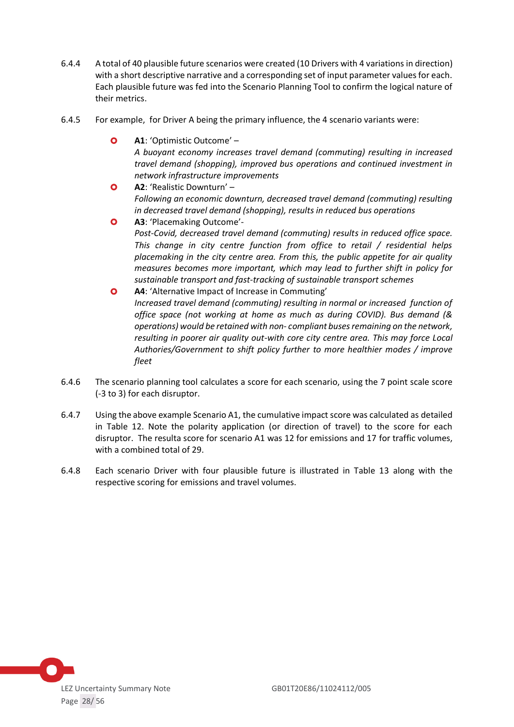- 6.4.4 A total of 40 plausible future scenarios were created (10 Drivers with 4 variations in direction) with a short descriptive narrative and a corresponding set of input parameter values for each. Each plausible future was fed into the Scenario Planning Tool to confirm the logical nature of their metrics.
- 6.4.5 For example, for Driver A being the primary influence, the 4 scenario variants were:
	- **A1**: 'Optimistic Outcome' *A buoyant economy increases travel demand (commuting) resulting in increased travel demand (shopping), improved bus operations and continued investment in network infrastructure improvements*
	- **A2**: 'Realistic Downturn' *Following an economic downturn, decreased travel demand (commuting) resulting in decreased travel demand (shopping), results in reduced bus operations*
	- **A3**: 'Placemaking Outcome'- *Post-Covid, decreased travel demand (commuting) results in reduced office space. This change in city centre function from office to retail / residential helps placemaking in the city centre area. From this, the public appetite for air quality measures becomes more important, which may lead to further shift in policy for sustainable transport and fast-tracking of sustainable transport schemes*
	- **A4**: 'Alternative Impact of Increase in Commuting' *Increased travel demand (commuting) resulting in normal or increased function of office space (not working at home as much as during COVID). Bus demand (& operations) would be retained with non- compliant buses remaining on the network, resulting in poorer air quality out-with core city centre area. This may force Local Authories/Government to shift policy further to more healthier modes / improve fleet*
- 6.4.6 The scenario planning tool calculates a score for each scenario, using the 7 point scale score (-3 to 3) for each disruptor.
- 6.4.7 Using the above example Scenario A1, the cumulative impact score was calculated as detailed in Table 12. Note the polarity application (or direction of travel) to the score for each disruptor. The resulta score for scenario A1 was 12 for emissions and 17 for traffic volumes, with a combined total of 29.
- 6.4.8 Each scenario Driver with four plausible future is illustrated in Table 13 along with the respective scoring for emissions and travel volumes.

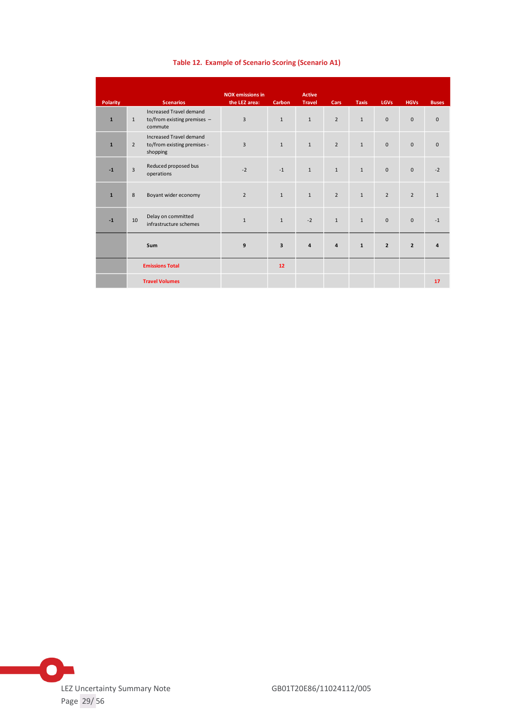|                 |                                                    |                                                                    | <b>NOX</b> emissions in |                         | <b>Active</b>  |                |              |                |                     |                         |
|-----------------|----------------------------------------------------|--------------------------------------------------------------------|-------------------------|-------------------------|----------------|----------------|--------------|----------------|---------------------|-------------------------|
| <b>Polarity</b> |                                                    | <b>Scenarios</b>                                                   | the LEZ area:           | <b>Carbon</b>           | <b>Travel</b>  | Cars           | <b>Taxis</b> | <b>LGVs</b>    | <b>HGVs</b>         | <b>Buses</b>            |
| $\mathbf{1}$    | $\mathbf{1}$                                       | Increased Travel demand<br>to/from existing premises -<br>commute  | 3                       | $\mathbf{1}$            | $\mathbf{1}$   | $\overline{2}$ | $\mathbf{1}$ | $\mathbf{0}$   | $\mathbf{0}$        | $\mathbf{0}$            |
| $\mathbf{1}$    | $\overline{2}$                                     | Increased Travel demand<br>to/from existing premises -<br>shopping | $\overline{3}$          | $\mathbf{1}$            | $\mathbf{1}$   | $\overline{2}$ | $\mathbf{1}$ | $\bf 0$        | $\mathsf{O}\xspace$ | $\mathsf 0$             |
| $-1$            | $\overline{3}$                                     | Reduced proposed bus<br>operations                                 | $-2$                    | $-1$                    | $\mathbf{1}$   | $\mathbf{1}$   | $\mathbf{1}$ | $\mathbf{0}$   | $\mathbf{0}$        | $-2$                    |
| $\mathbf{1}$    | 8                                                  | Boyant wider economy                                               | $\overline{2}$          | $\mathbf{1}$            | $\mathbf{1}$   | $\overline{2}$ | $\mathbf{1}$ | $\overline{2}$ | $\overline{2}$      | $\mathbf{1}$            |
| $-1$            | Delay on committed<br>10<br>infrastructure schemes |                                                                    | $\mathbf{1}$            | $\mathbf{1}$            | $-2$           | $\mathbf{1}$   | $\mathbf{1}$ | $\mathbf{0}$   | $\mathbf{0}$        | $-1$                    |
|                 |                                                    | Sum                                                                | 9                       | $\overline{\mathbf{3}}$ | $\overline{4}$ | $\overline{4}$ | $\mathbf{1}$ | $\overline{2}$ | $\overline{2}$      | $\overline{\mathbf{4}}$ |
|                 |                                                    | <b>Emissions Total</b>                                             |                         | 12                      |                |                |              |                |                     |                         |
|                 |                                                    | <b>Travel Volumes</b>                                              |                         |                         |                |                |              |                |                     | 17                      |

#### **Table 12. Example of Scenario Scoring (Scenario A1)**

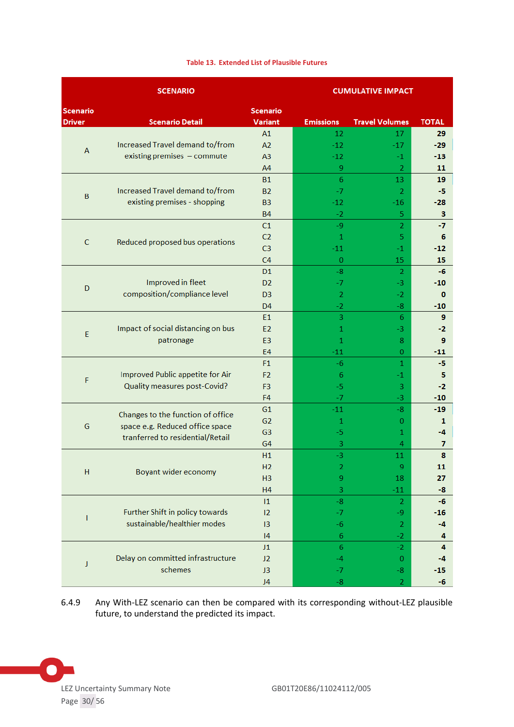|--|

|                 | <b>SCENARIO</b>                     |                |                           | <b>CUMULATIVE IMPACT</b> |                |
|-----------------|-------------------------------------|----------------|---------------------------|--------------------------|----------------|
| <b>Scenario</b> |                                     | Scenario       |                           |                          |                |
| <b>Driver</b>   | <b>Scenario Detail</b>              | Variant        | <b>Emissions</b>          | <b>Travel Volumes</b>    | <b>TOTAL</b>   |
|                 |                                     | A1             | 12                        | 17                       | 29             |
| A               | Increased Travel demand to/from     | A2             | $-12$                     | $-17$                    | $-29$          |
|                 | existing premises - commute         | A <sub>3</sub> | $-12$                     | $-1$                     | $-13$          |
|                 |                                     | A4             | 9                         | $\overline{2}$           | 11             |
|                 |                                     | <b>B1</b>      | $\overline{6}$            | 13                       | 19             |
| B               | Increased Travel demand to/from     | <b>B2</b>      | $-7$                      | 2                        | -5             |
|                 | existing premises - shopping        | <b>B3</b>      | -12                       | $-16$                    | $-28$          |
|                 |                                     | <b>B4</b>      | $-2$                      | 5                        | 3              |
|                 |                                     | C1             | $-9$                      | $\overline{2}$           | -7             |
| $\mathsf{C}$    | Reduced proposed bus operations     | C <sub>2</sub> | $\mathbf{1}$              | 5                        | 6              |
|                 |                                     | C <sub>3</sub> | $-11$                     | -1                       | -12            |
|                 |                                     | C <sub>4</sub> | $\overline{0}$            | 15                       | 15             |
|                 |                                     | D <sub>1</sub> | $-8$                      | 2                        | -6             |
| D               | Improved in fleet                   | D <sub>2</sub> | -7                        | -3.                      | -10            |
|                 | composition/compliance level        | D <sub>3</sub> | $\overline{2}$            | $-2$                     | 0              |
|                 |                                     | D <sub>4</sub> | $-2$                      | $-8$                     | $-10$          |
|                 |                                     | E <sub>1</sub> | $\overline{3}$            | 6                        | 9              |
| E               | Impact of social distancing on bus  | E <sub>2</sub> | 1                         | -3.                      | -2             |
|                 | patronage                           | E <sub>3</sub> | 1                         | 8                        | 9              |
|                 |                                     | <b>E4</b>      | $-11$                     | $\mathbf{0}$             | $-11$          |
|                 |                                     | F1             | -6                        | $\mathbf{1}$             | -5             |
| F               | Improved Public appetite for Air    | F <sub>2</sub> | 6                         | -1                       | 5              |
|                 | <b>Quality measures post-Covid?</b> | F <sub>3</sub> | $-5$                      | 3                        | $-2$           |
|                 |                                     | F <sub>4</sub> | $-7$                      | -3.                      | $-10$          |
|                 | Changes to the function of office   | G1             | $-11$                     | -8                       | $-19$          |
| G               | space e.g. Reduced office space     | G2             | 1                         | $\mathbf{0}$             | 1              |
|                 | tranferred to residential/Retail    | G <sub>3</sub> | -5                        | 1                        | -4             |
|                 |                                     | G <sub>4</sub> | $\ensuremath{\mathsf{3}}$ | 4                        | $\overline{7}$ |
|                 |                                     | H1             | -3                        | 11                       | 8              |
| H               | Boyant wider economy                | H2             | $\overline{\mathbf{c}}$   | 9                        | 11             |
|                 |                                     | H <sub>3</sub> | 9                         | 18                       | 27             |
|                 |                                     | H4             | 3                         | $-11$                    | -8             |
|                 |                                     | 1              | $-8$                      | $\overline{2}$           | -6             |
| T               | Further Shift in policy towards     | 12             | $-7$                      | -9                       | $-16$          |
|                 | sustainable/healthier modes         | 13             | $-6$                      | 2                        | $-4$           |
|                 |                                     | 4              | 6                         | $-2$                     | 4              |
|                 |                                     | J1             | $\sqrt{6}$                | $-2$                     | 4              |
| J               | Delay on committed infrastructure   | J2             | $-4$                      | $\mathbf{0}$             | $-4$           |
|                 | schemes                             | J3             | $-7$                      | $-8-$                    | $-15$          |
|                 |                                     | J4             | -8                        | $\overline{2}$           | -6             |

6.4.9 Any With-LEZ scenario can then be compared with its corresponding without-LEZ plausible future, to understand the predicted its impact.

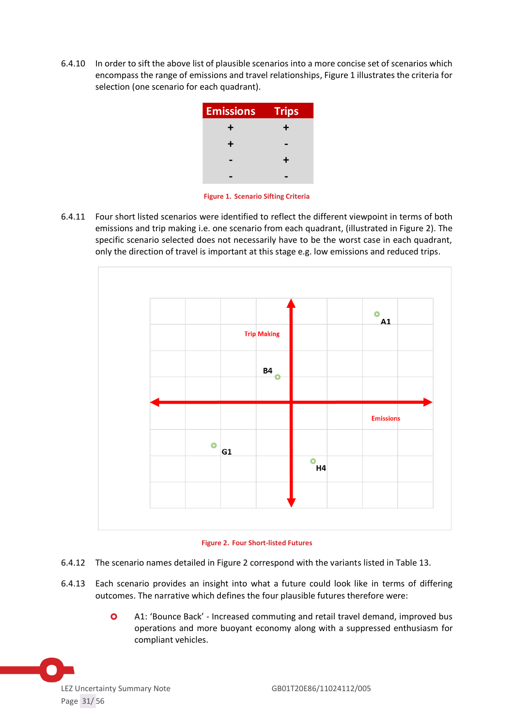6.4.10 In order to sift the above list of plausible scenarios into a more concise set of scenarios which encompass the range of emissions and travel relationships, Figure 1 illustrates the criteria for selection (one scenario for each quadrant).

| <b>Emissions</b> | <b>Trips</b> |
|------------------|--------------|
| +                | ┺            |
| ┿                |              |
|                  | ┹            |
|                  |              |
|                  |              |

**Figure 1. Scenario Sifting Criteria**

6.4.11 Four short listed scenarios were identified to reflect the different viewpoint in terms of both emissions and trip making i.e. one scenario from each quadrant, (illustrated in Figure 2). The specific scenario selected does not necessarily have to be the worst case in each quadrant, only the direction of travel is important at this stage e.g. low emissions and reduced trips.



**Figure 2. Four Short-listed Futures**

- 6.4.12 The scenario names detailed in Figure 2 correspond with the variants listed in Table 13.
- 6.4.13 Each scenario provides an insight into what a future could look like in terms of differing outcomes. The narrative which defines the four plausible futures therefore were:
	- A1: 'Bounce Back' Increased commuting and retail travel demand, improved bus operations and more buoyant economy along with a suppressed enthusiasm for compliant vehicles.

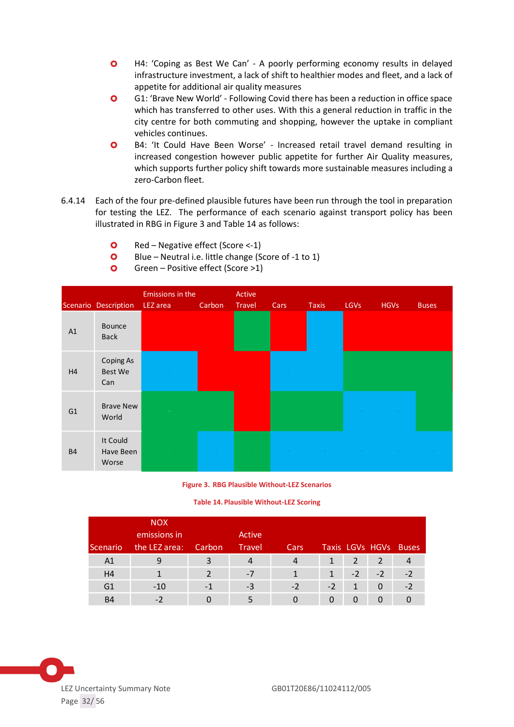- H4: 'Coping as Best We Can' A poorly performing economy results in delayed infrastructure investment, a lack of shift to healthier modes and fleet, and a lack of appetite for additional air quality measures
- G1: 'Brave New World' Following Covid there has been a reduction in office space which has transferred to other uses. With this a general reduction in traffic in the city centre for both commuting and shopping, however the uptake in compliant vehicles continues.
- B4: 'It Could Have Been Worse' Increased retail travel demand resulting in increased congestion however public appetite for further Air Quality measures, which supports further policy shift towards more sustainable measures including a zero-Carbon fleet.
- 6.4.14 Each of the four pre-defined plausible futures have been run through the tool in preparation for testing the LEZ. The performance of each scenario against transport policy has been illustrated in RBG in Figure 3 and Table 14 as follows:
	- $\bullet$  Red Negative effect (Score <-1)
	- **O** Blue Neutral i.e. little change (Score of -1 to 1)
	- **O** Green Positive effect (Score  $>1$ )

|                | Scenario Description                      | Emissions in the<br>LEZ area | Carbon | Active<br>Travel | Cars | <b>Taxis</b> | <b>LGVs</b> | <b>HGVs</b> | <b>Buses</b> |
|----------------|-------------------------------------------|------------------------------|--------|------------------|------|--------------|-------------|-------------|--------------|
| A1             | Bounce<br><b>Back</b>                     |                              |        | $\sim 100$       |      | $\sim 10^7$  |             |             |              |
| H <sub>4</sub> | <b>Coping As</b><br><b>Best We</b><br>Can |                              |        |                  |      |              |             |             |              |
| G <sub>1</sub> | <b>Brave New</b><br>World                 |                              |        |                  |      |              |             |             |              |
| <b>B4</b>      | It Could<br>Have Been<br>Worse            |                              |        |                  |      |              |             |             |              |

#### **Figure 3. RBG Plausible Without-LEZ Scenarios**

**Table 14. Plausible Without-LEZ Scoring**

| <b>Scenario</b> | <b>NOX</b><br>emissions in<br>the LEZ area: | Carbon | Active<br><b>Travel</b> | Cars |      |      |          | Taxis LGVs HGVs Buses |
|-----------------|---------------------------------------------|--------|-------------------------|------|------|------|----------|-----------------------|
| A1              |                                             |        | 4                       | 4    |      | 2    |          |                       |
| H <sub>4</sub>  |                                             |        | $-7$                    |      | 1    | $-2$ | $-2$     | $-2$                  |
| G <sub>1</sub>  | $-10$                                       | - 1    | -3                      | $-2$ | $-2$ | 1    | $\Omega$ | $-2$                  |
| B <sub>4</sub>  |                                             |        |                         |      |      |      |          |                       |

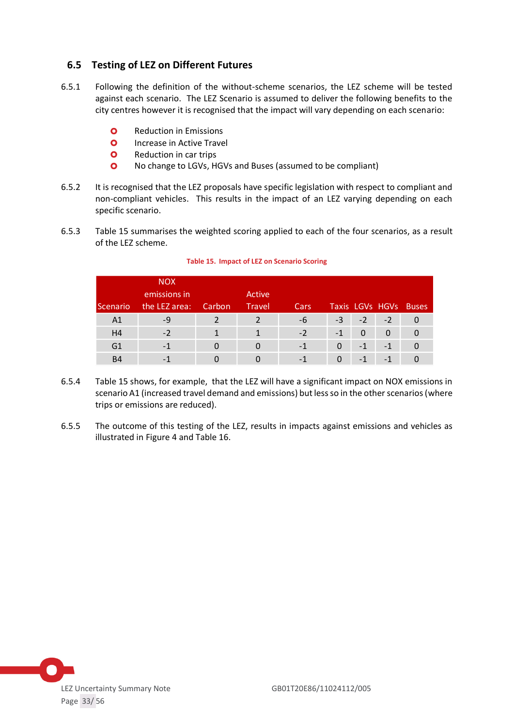# <span id="page-32-0"></span>**6.5 Testing of LEZ on Different Futures**

- 6.5.1 Following the definition of the without-scheme scenarios, the LEZ scheme will be tested against each scenario. The LEZ Scenario is assumed to deliver the following benefits to the city centres however it is recognised that the impact will vary depending on each scenario:
	- **O** Reduction in Emissions
	- **O** Increase in Active Travel
	- **O** Reduction in car trips
	- No change to LGVs, HGVs and Buses (assumed to be compliant)
- 6.5.2 It is recognised that the LEZ proposals have specific legislation with respect to compliant and non-compliant vehicles. This results in the impact of an LEZ varying depending on each specific scenario.
- 6.5.3 Table 15 summarises the weighted scoring applied to each of the four scenarios, as a result of the LEZ scheme.

| Scenario       | <b>NOX</b><br>emissions in<br>the LEZ area: | Carbon | Active<br><b>Travel</b> | Cars |          |      |      | Taxis LGVs HGVs Buses |
|----------------|---------------------------------------------|--------|-------------------------|------|----------|------|------|-----------------------|
| A <sub>1</sub> | -9                                          |        |                         | -6   | $-3$     | $-2$ | $-2$ |                       |
| H <sub>4</sub> | $-2$                                        |        |                         | $-2$ | $-1$     | 0    | 0    |                       |
| G <sub>1</sub> | -1                                          |        |                         | -1   | 0        | $-1$ | $-1$ |                       |
| <b>B4</b>      | - 1                                         |        |                         | $-1$ | $\Omega$ | $-1$ | $-1$ |                       |
|                |                                             |        |                         |      |          |      |      |                       |

#### **Table 15. Impact of LEZ on Scenario Scoring**

- 6.5.4 Table 15 shows, for example, that the LEZ will have a significant impact on NOX emissions in scenario A1 (increased travel demand and emissions) but less so in the other scenarios (where trips or emissions are reduced).
- 6.5.5 The outcome of this testing of the LEZ, results in impacts against emissions and vehicles as illustrated in Figure 4 and Table 16.

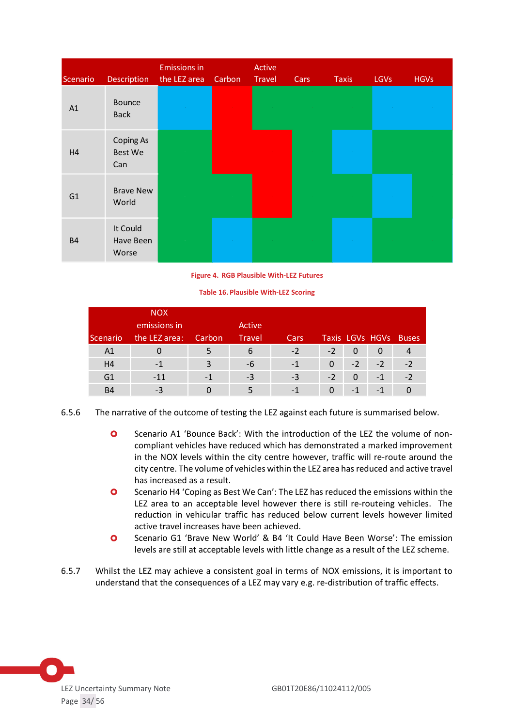| Scenario  | <b>Description</b>                 | <b>Emissions in</b><br>the LEZ area | Carbon | Active<br>Travel | Cars | <b>Taxis</b> | <b>LGVs</b> | <b>HGVs</b> |
|-----------|------------------------------------|-------------------------------------|--------|------------------|------|--------------|-------------|-------------|
| A1        | Bounce<br><b>Back</b>              |                                     |        |                  |      |              |             |             |
| H4        | <b>Coping As</b><br>Best We<br>Can |                                     |        |                  |      |              |             |             |
| G1        | <b>Brave New</b><br>World          |                                     |        |                  |      |              |             |             |
| <b>B4</b> | It Could<br>Have Been<br>Worse     |                                     |        |                  |      |              |             |             |

**Figure 4. RGB Plausible With-LEZ Futures**

**Table 16. Plausible With-LEZ Scoring**

|                 | <b>NOX</b>    |        |               |       |          |          |          |                       |
|-----------------|---------------|--------|---------------|-------|----------|----------|----------|-----------------------|
|                 | emissions in  |        | Active        |       |          |          |          |                       |
| <b>Scenario</b> | the LEZ area: | Carbon | <b>Travel</b> | Cars, |          |          |          | Taxis LGVs HGVs Buses |
| A <sub>1</sub>  |               | 5      | 6             | $-2$  | $-2$     | $\Omega$ | $\Omega$ |                       |
| H <sub>4</sub>  | $-1$          | 3      | -6            | $-1$  | $\Omega$ | $-2$     | $-2$     | $-2$                  |
| G <sub>1</sub>  | $-11$         | $-1$   | -3            | $-3$  | $-2$     | 0        | $-1$     | $-2$                  |
| <b>B4</b>       | -3            |        |               | $-1$  |          | $-1$     | $-1$     |                       |

- 6.5.6 The narrative of the outcome of testing the LEZ against each future is summarised below.
	- Scenario A1 'Bounce Back': With the introduction of the LEZ the volume of noncompliant vehicles have reduced which has demonstrated a marked improvement in the NOX levels within the city centre however, traffic will re-route around the city centre. The volume of vehicles within the LEZ area has reduced and active travel has increased as a result.
	- **O** Scenario H4 'Coping as Best We Can': The LEZ has reduced the emissions within the LEZ area to an acceptable level however there is still re-routeing vehicles. The reduction in vehicular traffic has reduced below current levels however limited active travel increases have been achieved.
	- **O** Scenario G1 'Brave New World' & B4 'It Could Have Been Worse': The emission levels are still at acceptable levels with little change as a result of the LEZ scheme.
- 6.5.7 Whilst the LEZ may achieve a consistent goal in terms of NOX emissions, it is important to understand that the consequences of a LEZ may vary e.g. re-distribution of traffic effects.

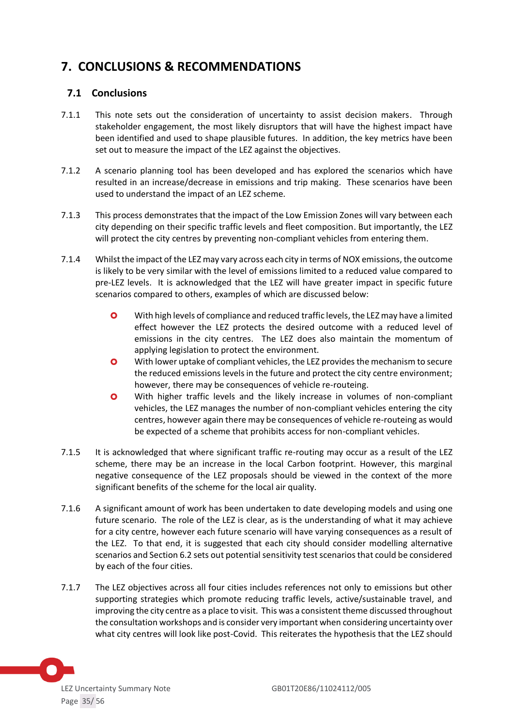# <span id="page-34-0"></span>**7. CONCLUSIONS & RECOMMENDATIONS**

### <span id="page-34-1"></span>**7.1 Conclusions**

- 7.1.1 This note sets out the consideration of uncertainty to assist decision makers. Through stakeholder engagement, the most likely disruptors that will have the highest impact have been identified and used to shape plausible futures. In addition, the key metrics have been set out to measure the impact of the LEZ against the objectives.
- 7.1.2 A scenario planning tool has been developed and has explored the scenarios which have resulted in an increase/decrease in emissions and trip making. These scenarios have been used to understand the impact of an LEZ scheme.
- 7.1.3 This process demonstrates that the impact of the Low Emission Zones will vary between each city depending on their specific traffic levels and fleet composition. But importantly, the LEZ will protect the city centres by preventing non-compliant vehicles from entering them.
- 7.1.4 Whilst the impact of the LEZ may vary across each city in terms of NOX emissions, the outcome is likely to be very similar with the level of emissions limited to a reduced value compared to pre-LEZ levels. It is acknowledged that the LEZ will have greater impact in specific future scenarios compared to others, examples of which are discussed below:
	- With high levels of compliance and reduced traffic levels, the LEZ may have a limited effect however the LEZ protects the desired outcome with a reduced level of emissions in the city centres. The LEZ does also maintain the momentum of applying legislation to protect the environment.
	- **O** With lower uptake of compliant vehicles, the LEZ provides the mechanism to secure the reduced emissions levels in the future and protect the city centre environment; however, there may be consequences of vehicle re-routeing.
	- With higher traffic levels and the likely increase in volumes of non-compliant vehicles, the LEZ manages the number of non-compliant vehicles entering the city centres, however again there may be consequences of vehicle re-routeing as would be expected of a scheme that prohibits access for non-compliant vehicles.
- 7.1.5 It is acknowledged that where significant traffic re-routing may occur as a result of the LEZ scheme, there may be an increase in the local Carbon footprint. However, this marginal negative consequence of the LEZ proposals should be viewed in the context of the more significant benefits of the scheme for the local air quality.
- 7.1.6 A significant amount of work has been undertaken to date developing models and using one future scenario. The role of the LEZ is clear, as is the understanding of what it may achieve for a city centre, however each future scenario will have varying consequences as a result of the LEZ. To that end, it is suggested that each city should consider modelling alternative scenarios and Section 6.2 sets out potential sensitivity test scenarios that could be considered by each of the four cities.
- 7.1.7 The LEZ objectives across all four cities includes references not only to emissions but other supporting strategies which promote reducing traffic levels, active/sustainable travel, and improving the city centre as a place to visit. This was a consistent theme discussed throughout the consultation workshops and is consider very important when considering uncertainty over what city centres will look like post-Covid. This reiterates the hypothesis that the LEZ should

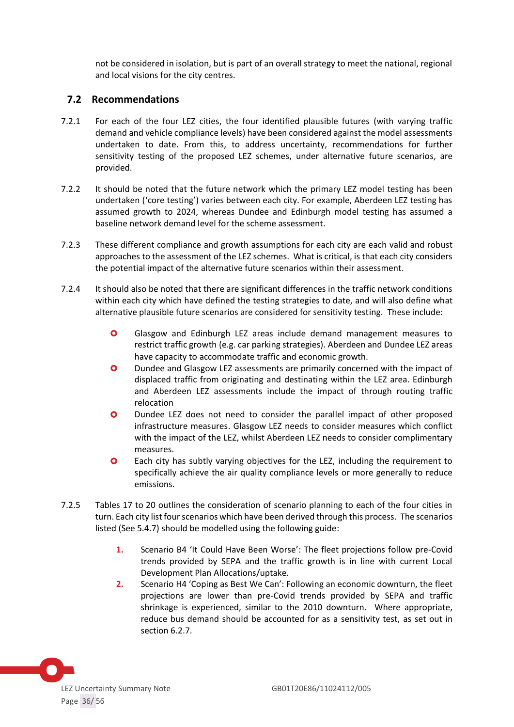not be considered in isolation, but is part of an overall strategy to meet the national, regional and local visions for the city centres.

# <span id="page-35-0"></span>**7.2 Recommendations**

- 7.2.1 For each of the four LEZ cities, the four identified plausible futures (with varying traffic demand and vehicle compliance levels) have been considered against the model assessments undertaken to date. From this, to address uncertainty, recommendations for further sensitivity testing of the proposed LEZ schemes, under alternative future scenarios, are provided.
- 7.2.2 It should be noted that the future network which the primary LEZ model testing has been undertaken ('core testing') varies between each city. For example, Aberdeen LEZ testing has assumed growth to 2024, whereas Dundee and Edinburgh model testing has assumed a baseline network demand level for the scheme assessment.
- 7.2.3 These different compliance and growth assumptions for each city are each valid and robust approaches to the assessment of the LEZ schemes. What is critical, is that each city considers the potential impact of the alternative future scenarios within their assessment.
- 7.2.4 It should also be noted that there are significant differences in the traffic network conditions within each city which have defined the testing strategies to date, and will also define what alternative plausible future scenarios are considered for sensitivity testing. These include:
	- **O** Glasgow and Edinburgh LEZ areas include demand management measures to restrict traffic growth (e.g. car parking strategies). Aberdeen and Dundee LEZ areas have capacity to accommodate traffic and economic growth.
	- **O** Dundee and Glasgow LEZ assessments are primarily concerned with the impact of displaced traffic from originating and destinating within the LEZ area. Edinburgh and Aberdeen LEZ assessments include the impact of through routing traffic relocation
	- **O** Dundee LEZ does not need to consider the parallel impact of other proposed infrastructure measures. Glasgow LEZ needs to consider measures which conflict with the impact of the LEZ, whilst Aberdeen LEZ needs to consider complimentary measures.
	- **O** Each city has subtly varying objectives for the LEZ, including the requirement to specifically achieve the air quality compliance levels or more generally to reduce emissions.
- 7.2.5 Tables 17 to 20 outlines the consideration of scenario planning to each of the four cities in turn. Each city list four scenarios which have been derived through this process. The scenarios listed (See 5.4.7) should be modelled using the following guide:
	- **1.** Scenario B4 'It Could Have Been Worse': The fleet projections follow pre-Covid trends provided by SEPA and the traffic growth is in line with current Local Development Plan Allocations/uptake.
	- **2.** Scenario H4 'Coping as Best We Can': Following an economic downturn, the fleet projections are lower than pre-Covid trends provided by SEPA and traffic shrinkage is experienced, similar to the 2010 downturn. Where appropriate, reduce bus demand should be accounted for as a sensitivity test, as set out in section 6.2.7.

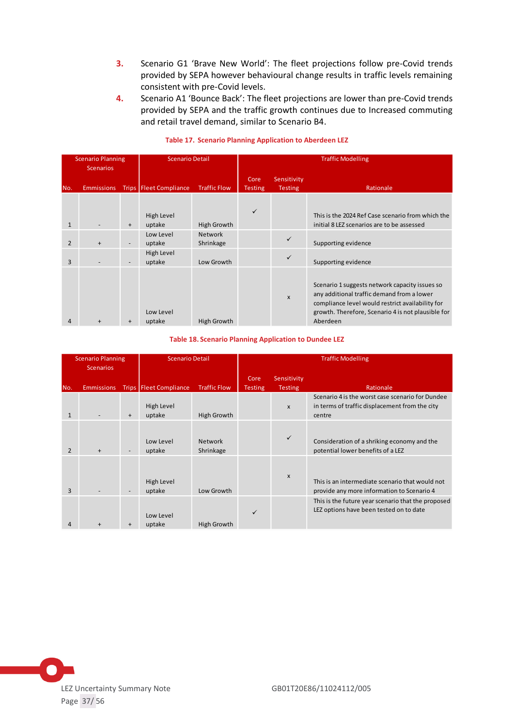- **3.** Scenario G1 'Brave New World': The fleet projections follow pre-Covid trends provided by SEPA however behavioural change results in traffic levels remaining consistent with pre-Covid levels.
- **4.** Scenario A1 'Bounce Back': The fleet projections are lower than pre-Covid trends provided by SEPA and the traffic growth continues due to Increased commuting and retail travel demand, similar to Scenario B4.

|                | <b>Scenario Planning</b><br><b>Scenarios</b> |           | <b>Scenario Detail</b>   |                             | <b>Traffic Modelling</b> |                               |                                                                                                                                                                                                                    |  |  |
|----------------|----------------------------------------------|-----------|--------------------------|-----------------------------|--------------------------|-------------------------------|--------------------------------------------------------------------------------------------------------------------------------------------------------------------------------------------------------------------|--|--|
| No.            | <b>Emmissions</b>                            |           | Trips   Fleet Compliance | <b>Traffic Flow</b>         | Core<br><b>Testing</b>   | Sensitivity<br><b>Testing</b> | Rationale                                                                                                                                                                                                          |  |  |
| $\mathbf{1}$   |                                              | $\ddot{}$ | High Level<br>uptake     | High Growth                 | $\checkmark$             |                               | This is the 2024 Ref Case scenario from which the<br>initial 8 LEZ scenarios are to be assessed                                                                                                                    |  |  |
| $\overline{2}$ | $\ddot{}$                                    |           | Low Level<br>uptake      | <b>Network</b><br>Shrinkage |                          | $\checkmark$                  | Supporting evidence                                                                                                                                                                                                |  |  |
| 3              |                                              |           | High Level<br>uptake     | Low Growth                  |                          | $\checkmark$                  | Supporting evidence                                                                                                                                                                                                |  |  |
| 4              | $\ddot{}$                                    | $\ddot{}$ | Low Level<br>uptake      | High Growth                 |                          | $\boldsymbol{\mathsf{x}}$     | Scenario 1 suggests network capacity issues so<br>any additional traffic demand from a lower<br>compliance level would restrict availability for<br>growth. Therefore, Scenario 4 is not plausible for<br>Aberdeen |  |  |

#### **Table 17. Scenario Planning Application to Aberdeen LEZ**

#### **Table 18. Scenario Planning Application to Dundee LEZ**

| <b>Scenario Planning</b><br><b>Scenarios</b> |                   |           | <b>Scenario Detail</b>   |                             | <b>Traffic Modelling</b> |                           |                                                                                               |
|----------------------------------------------|-------------------|-----------|--------------------------|-----------------------------|--------------------------|---------------------------|-----------------------------------------------------------------------------------------------|
|                                              |                   |           |                          |                             | Core                     | Sensitivity               | Rationale                                                                                     |
| No.                                          | <b>Emmissions</b> |           | Trips   Fleet Compliance | <b>Traffic Flow</b>         | <b>Testing</b>           | <b>Testing</b>            | Scenario 4 is the worst case scenario for Dundee                                              |
| $\mathbf{1}$                                 |                   | $\ddot{}$ | High Level<br>uptake     | High Growth                 |                          | $\boldsymbol{\mathsf{x}}$ | in terms of traffic displacement from the city<br>centre                                      |
| $\mathcal{P}$                                | $+$               |           | Low Level<br>uptake      | <b>Network</b><br>Shrinkage |                          | ✓                         | Consideration of a shriking economy and the<br>potential lower benefits of a LEZ              |
| 3                                            |                   |           | High Level<br>uptake     | Low Growth                  |                          | $\mathsf{x}$              | This is an intermediate scenario that would not<br>provide any more information to Scenario 4 |
| 4                                            | $+$               | $\ddot{}$ | Low Level<br>uptake      | High Growth                 | $\checkmark$             |                           | This is the future year scenario that the proposed<br>LEZ options have been tested on to date |

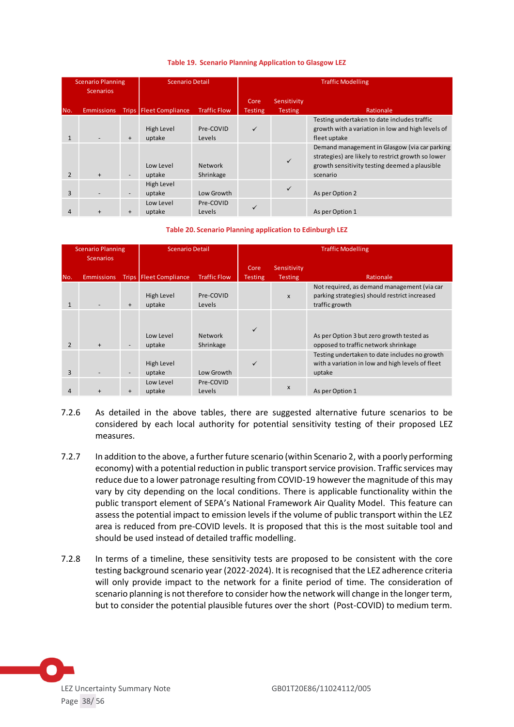| <b>Scenario Planning</b><br><b>Scenarios</b> |                   | <b>Scenario Detail</b>       |                          | <b>Traffic Modelling</b>    |                        |                               |                                                                                                                                                                  |
|----------------------------------------------|-------------------|------------------------------|--------------------------|-----------------------------|------------------------|-------------------------------|------------------------------------------------------------------------------------------------------------------------------------------------------------------|
| No.                                          | <b>Emmissions</b> |                              | Trips   Fleet Compliance | <b>Traffic Flow</b>         | Core<br><b>Testing</b> | Sensitivity<br><b>Testing</b> | Rationale                                                                                                                                                        |
| $\mathbf{1}$                                 |                   | $+$                          | High Level<br>uptake     | Pre-COVID<br>Levels         | ✓                      |                               | Testing undertaken to date includes traffic<br>growth with a variation in low and high levels of<br>fleet uptake                                                 |
| $\overline{2}$                               | $+$               | $\qquad \qquad \blacksquare$ | Low Level<br>uptake      | <b>Network</b><br>Shrinkage |                        | $\checkmark$                  | Demand management in Glasgow (via car parking<br>strategies) are likely to restrict growth so lower<br>growth sensitivity testing deemed a plausible<br>scenario |
| $\overline{3}$                               |                   | $\overline{\phantom{a}}$     | High Level<br>uptake     | Low Growth                  |                        | ✓                             | As per Option 2                                                                                                                                                  |
| 4                                            |                   | $\ddot{}$                    | Low Level<br>uptake      | Pre-COVID<br>Levels         | ✓                      |                               | As per Option 1                                                                                                                                                  |

#### **Table 19. Scenario Planning Application to Glasgow LEZ**

#### **Table 20. Scenario Planning application to Edinburgh LEZ**

| <b>Scenario Planning</b><br><b>Scenarios</b> |                   |                          | <b>Scenario Detail</b>   |                             | <b>Traffic Modelling</b> |                        |                                                                                                                |
|----------------------------------------------|-------------------|--------------------------|--------------------------|-----------------------------|--------------------------|------------------------|----------------------------------------------------------------------------------------------------------------|
| No.                                          | <b>Emmissions</b> |                          | Trips   Fleet Compliance | <b>Traffic Flow</b>         | Core<br><b>Testing</b>   | Sensitivity<br>Testing | Rationale                                                                                                      |
| $\mathbf{1}$                                 |                   | $+$                      | High Level<br>uptake     | Pre-COVID<br>Levels         |                          | X                      | Not required, as demand management (via car<br>parking strategies) should restrict increased<br>traffic growth |
| $\mathcal{P}$                                | $+$               |                          | Low Level<br>uptake      | <b>Network</b><br>Shrinkage | $\checkmark$             |                        | As per Option 3 but zero growth tested as<br>opposed to traffic network shrinkage                              |
| 3                                            |                   | $\overline{\phantom{a}}$ | High Level<br>uptake     | Low Growth                  | $\checkmark$             |                        | Testing undertaken to date includes no growth<br>with a variation in low and high levels of fleet<br>uptake    |
| 4                                            | $+$               | $\ddot{}$                | Low Level<br>uptake      | Pre-COVID<br>Levels         |                          | X                      | As per Option 1                                                                                                |

- 7.2.6 As detailed in the above tables, there are suggested alternative future scenarios to be considered by each local authority for potential sensitivity testing of their proposed LEZ measures.
- 7.2.7 In addition to the above, a further future scenario (within Scenario 2, with a poorly performing economy) with a potential reduction in public transportservice provision. Traffic services may reduce due to a lower patronage resulting from COVID-19 however the magnitude of this may vary by city depending on the local conditions. There is applicable functionality within the public transport element of SEPA's National Framework Air Quality Model. This feature can assess the potential impact to emission levels if the volume of public transport within the LEZ area is reduced from pre-COVID levels. It is proposed that this is the most suitable tool and should be used instead of detailed traffic modelling.
- 7.2.8 In terms of a timeline, these sensitivity tests are proposed to be consistent with the core testing background scenario year (2022-2024). It is recognised that the LEZ adherence criteria will only provide impact to the network for a finite period of time. The consideration of scenario planning is not therefore to consider how the network will change in the longer term, but to consider the potential plausible futures over the short (Post-COVID) to medium term.

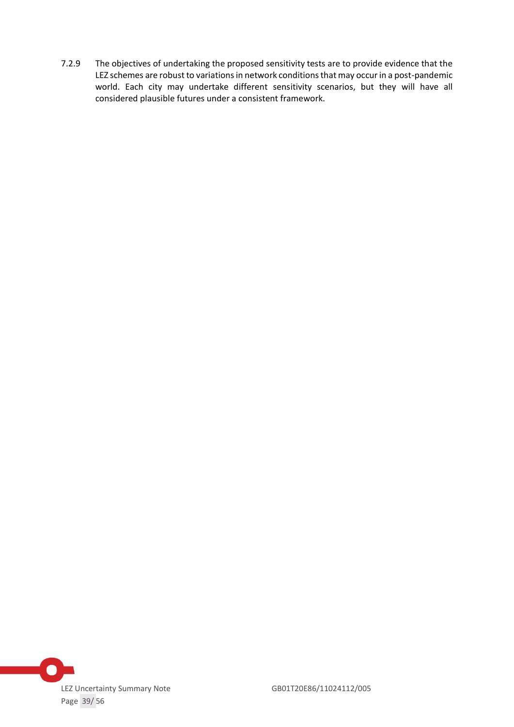7.2.9 The objectives of undertaking the proposed sensitivity tests are to provide evidence that the LEZ schemes are robust to variations in network conditions that may occur in a post-pandemic world. Each city may undertake different sensitivity scenarios, but they will have all considered plausible futures under a consistent framework.

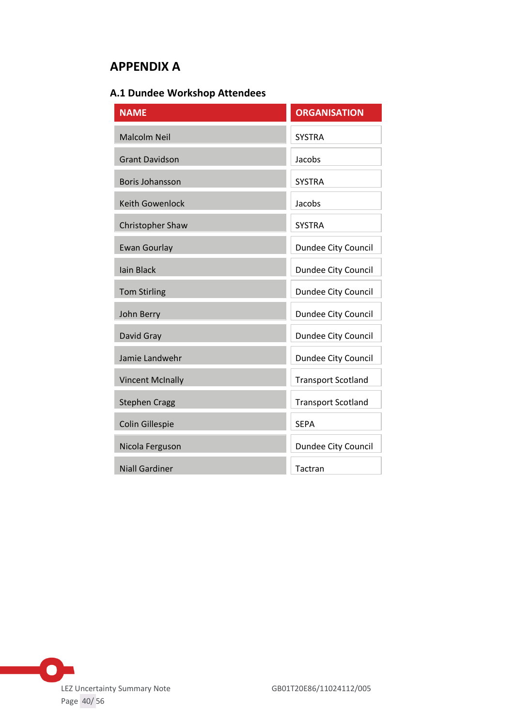# <span id="page-39-0"></span>**APPENDIX A**

# <span id="page-39-1"></span>**A.1 Dundee Workshop Attendees**

| <b>NAME</b>             | <b>ORGANISATION</b>       |  |
|-------------------------|---------------------------|--|
| <b>Malcolm Neil</b>     | <b>SYSTRA</b>             |  |
| <b>Grant Davidson</b>   | Jacobs                    |  |
| <b>Boris Johansson</b>  | <b>SYSTRA</b>             |  |
| Keith Gowenlock         | Jacobs                    |  |
| <b>Christopher Shaw</b> | <b>SYSTRA</b>             |  |
| <b>Ewan Gourlay</b>     | Dundee City Council       |  |
| <b>lain Black</b>       | Dundee City Council       |  |
| <b>Tom Stirling</b>     | Dundee City Council       |  |
| John Berry              | Dundee City Council       |  |
| David Gray              | Dundee City Council       |  |
| Jamie Landwehr          | Dundee City Council       |  |
| <b>Vincent McInally</b> | <b>Transport Scotland</b> |  |
| <b>Stephen Cragg</b>    | <b>Transport Scotland</b> |  |
| <b>Colin Gillespie</b>  | <b>SEPA</b>               |  |
| Nicola Ferguson         | Dundee City Council       |  |
| <b>Niall Gardiner</b>   | Tactran                   |  |

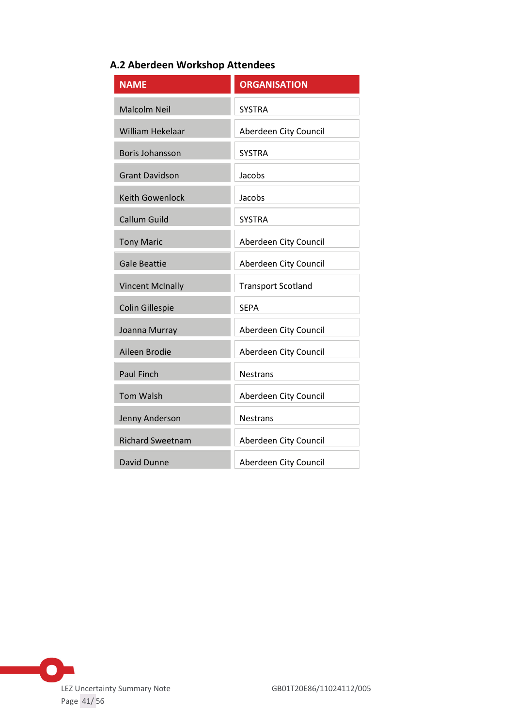# <span id="page-40-0"></span>**A.2 Aberdeen Workshop Attendees**

| <b>NAME</b>             | <b>ORGANISATION</b>       |
|-------------------------|---------------------------|
| <b>Malcolm Neil</b>     | <b>SYSTRA</b>             |
| <b>William Hekelaar</b> | Aberdeen City Council     |
| <b>Boris Johansson</b>  | <b>SYSTRA</b>             |
| <b>Grant Davidson</b>   | Jacobs                    |
| <b>Keith Gowenlock</b>  | Jacobs                    |
| Callum Guild            | <b>SYSTRA</b>             |
| <b>Tony Maric</b>       | Aberdeen City Council     |
| <b>Gale Beattie</b>     | Aberdeen City Council     |
| <b>Vincent McInally</b> | <b>Transport Scotland</b> |
| Colin Gillespie         | <b>SEPA</b>               |
| Joanna Murray           | Aberdeen City Council     |
| Aileen Brodie           | Aberdeen City Council     |
| <b>Paul Finch</b>       | <b>Nestrans</b>           |
| <b>Tom Walsh</b>        | Aberdeen City Council     |
| Jenny Anderson          | <b>Nestrans</b>           |
| <b>Richard Sweetnam</b> | Aberdeen City Council     |
| David Dunne             | Aberdeen City Council     |

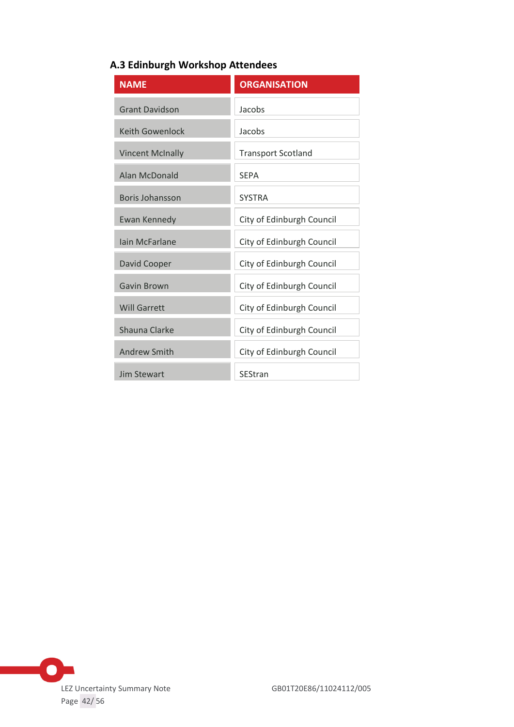<span id="page-41-0"></span>

|  |  | A.3 Edinburgh Workshop Attendees |  |
|--|--|----------------------------------|--|
|--|--|----------------------------------|--|

| <b>NAME</b>             | <b>ORGANISATION</b>       |
|-------------------------|---------------------------|
| <b>Grant Davidson</b>   | Jacobs                    |
| <b>Keith Gowenlock</b>  | Jacobs                    |
| <b>Vincent McInally</b> | <b>Transport Scotland</b> |
| Alan McDonald           | <b>SEPA</b>               |
| Boris Johansson         | <b>SYSTRA</b>             |
| Ewan Kennedy            | City of Edinburgh Council |
| Jain McFarlane          | City of Edinburgh Council |
| David Cooper            | City of Edinburgh Council |
| Gavin Brown             | City of Edinburgh Council |
| <b>Will Garrett</b>     | City of Edinburgh Council |
| Shauna Clarke           | City of Edinburgh Council |
| <b>Andrew Smith</b>     | City of Edinburgh Council |
| Jim Stewart             | <b>SEStran</b>            |

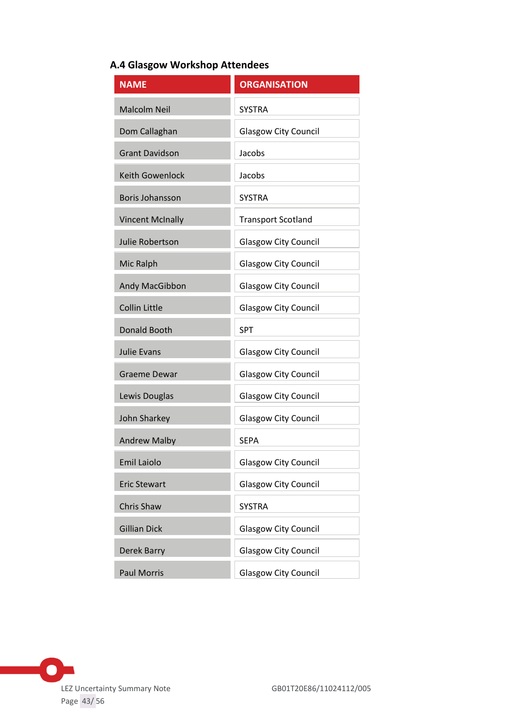# <span id="page-42-0"></span>**A.4 Glasgow Workshop Attendees**

| <b>NAME</b>             | <b>ORGANISATION</b>         |
|-------------------------|-----------------------------|
| <b>Malcolm Neil</b>     | <b>SYSTRA</b>               |
| Dom Callaghan           | <b>Glasgow City Council</b> |
| <b>Grant Davidson</b>   | Jacobs                      |
| <b>Keith Gowenlock</b>  | Jacobs                      |
| Boris Johansson         | <b>SYSTRA</b>               |
| <b>Vincent McInally</b> | <b>Transport Scotland</b>   |
| Julie Robertson         | <b>Glasgow City Council</b> |
| Mic Ralph               | <b>Glasgow City Council</b> |
| Andy MacGibbon          | <b>Glasgow City Council</b> |
| <b>Collin Little</b>    | <b>Glasgow City Council</b> |
| <b>Donald Booth</b>     | <b>SPT</b>                  |
| <b>Julie Evans</b>      | <b>Glasgow City Council</b> |
| <b>Graeme Dewar</b>     | <b>Glasgow City Council</b> |
| Lewis Douglas           | <b>Glasgow City Council</b> |
| John Sharkey            | Glasgow City Council        |
| <b>Andrew Malby</b>     | <b>SEPA</b>                 |
| <b>Emil Laiolo</b>      | <b>Glasgow City Council</b> |
| <b>Eric Stewart</b>     | <b>Glasgow City Council</b> |
| Chris Shaw              | <b>SYSTRA</b>               |
| <b>Gillian Dick</b>     | <b>Glasgow City Council</b> |
| Derek Barry             | <b>Glasgow City Council</b> |
| <b>Paul Morris</b>      | <b>Glasgow City Council</b> |

 $\bullet$ LEZ Uncertainty Summary Note GB01T20E86/11024112/005 Page 43/ 56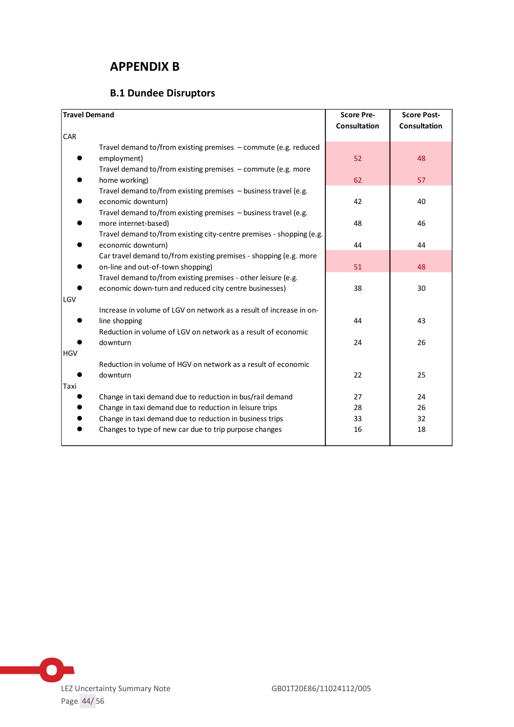# <span id="page-43-0"></span>**APPENDIX B**

# **B.1 Dundee Disruptors**

<span id="page-43-1"></span>

| <b>Travel Demand</b>                                                 | <b>Score Pre-</b>   | <b>Score Post-</b>  |
|----------------------------------------------------------------------|---------------------|---------------------|
|                                                                      | <b>Consultation</b> | <b>Consultation</b> |
| CAR                                                                  |                     |                     |
| Travel demand to/from existing premises $-$ commute (e.g. reduced    |                     |                     |
| employment)                                                          | 52                  | 48                  |
| Travel demand to/from existing premises - commute (e.g. more         |                     |                     |
| home working)                                                        | 62                  | 57                  |
| Travel demand to/from existing premises - business travel (e.g.      |                     |                     |
| economic downturn)                                                   | 42                  | 40                  |
| Travel demand to/from existing premises - business travel (e.g.      |                     |                     |
| more internet-based)                                                 | 48                  | 46                  |
| Travel demand to/from existing city-centre premises - shopping (e.g. |                     |                     |
| economic downturn)                                                   | 44                  | 44                  |
| Car travel demand to/from existing premises - shopping (e.g. more    |                     |                     |
| on-line and out-of-town shopping)                                    | 51                  | 48                  |
| Travel demand to/from existing premises - other leisure (e.g.        |                     |                     |
| economic down-turn and reduced city centre businesses)               | 38                  | 30                  |
| LGV                                                                  |                     |                     |
| Increase in volume of LGV on network as a result of increase in on-  |                     |                     |
| line shopping                                                        | 44                  | 43                  |
| Reduction in volume of LGV on network as a result of economic        |                     |                     |
| downturn                                                             | 24                  | 26                  |
| <b>HGV</b>                                                           |                     |                     |
| Reduction in volume of HGV on network as a result of economic        |                     |                     |
| downturn                                                             | 22                  | 25                  |
| Taxi                                                                 |                     |                     |
| Change in taxi demand due to reduction in bus/rail demand            | 27                  | 24                  |
| Change in taxi demand due to reduction in leisure trips              | 28                  | 26                  |
| Change in taxi demand due to reduction in business trips             | 33                  | 32                  |
| Changes to type of new car due to trip purpose changes               | 16                  | 18                  |
|                                                                      |                     |                     |

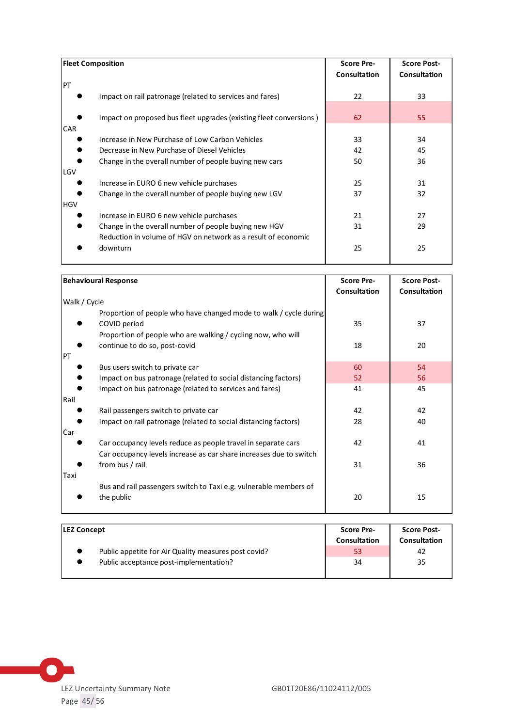| <b>Fleet Composition</b> |                                                                                                       | <b>Score Pre-</b><br><b>Consultation</b> | <b>Score Post-</b><br><b>Consultation</b> |
|--------------------------|-------------------------------------------------------------------------------------------------------|------------------------------------------|-------------------------------------------|
| <b>PT</b>                | Impact on rail patronage (related to services and fares)                                              | 22                                       | 33                                        |
|                          | Impact on proposed bus fleet upgrades (existing fleet conversions)                                    | 62                                       | 55                                        |
| <b>CAR</b>               | Increase in New Purchase of Low Carbon Vehicles                                                       | 33                                       | 34                                        |
|                          | Decrease in New Purchase of Diesel Vehicles<br>Change in the overall number of people buying new cars | 42<br>50                                 | 45<br>36                                  |
| LGV                      | Increase in EURO 6 new vehicle purchases                                                              | 25                                       | 31                                        |
| HGV                      | Change in the overall number of people buying new LGV                                                 | 37                                       | 32                                        |
|                          | Increase in EURO 6 new vehicle purchases<br>Change in the overall number of people buying new HGV     | 21<br>31                                 | 27<br>29                                  |
|                          | Reduction in volume of HGV on network as a result of economic<br>downturn                             | 25                                       | 25                                        |

| <b>Behavioural Response</b>                                        | <b>Score Pre-</b>   | <b>Score Post-</b>  |
|--------------------------------------------------------------------|---------------------|---------------------|
|                                                                    | <b>Consultation</b> | <b>Consultation</b> |
| Walk / Cycle                                                       |                     |                     |
| Proportion of people who have changed mode to walk / cycle during  |                     |                     |
| COVID period                                                       | 35                  | 37                  |
| Proportion of people who are walking / cycling now, who will       |                     |                     |
| continue to do so, post-covid                                      | 18                  | 20                  |
| PT                                                                 |                     |                     |
| Bus users switch to private car                                    | 60                  | 54                  |
| Impact on bus patronage (related to social distancing factors)     | 52                  | 56                  |
| Impact on bus patronage (related to services and fares)            | 41                  | 45                  |
| Rail                                                               |                     |                     |
| Rail passengers switch to private car                              | 42                  | 42                  |
| Impact on rail patronage (related to social distancing factors)    | 28                  | 40                  |
| Car                                                                |                     |                     |
| Car occupancy levels reduce as people travel in separate cars      | 42                  | 41                  |
| Car occupancy levels increase as car share increases due to switch |                     |                     |
| from bus / rail                                                    | 31                  | 36                  |
| Taxi                                                               |                     |                     |
| Bus and rail passengers switch to Taxi e.g. vulnerable members of  |                     |                     |
| the public                                                         | 20                  | 15                  |
|                                                                    |                     |                     |

| <b>LEZ Concept</b>                                   | <b>Score Pre-</b>   | <b>Score Post-</b>  |
|------------------------------------------------------|---------------------|---------------------|
|                                                      | <b>Consultation</b> | <b>Consultation</b> |
| Public appetite for Air Quality measures post covid? | 53                  | 42                  |
| Public acceptance post-implementation?               | 34                  | 35                  |
|                                                      |                     |                     |

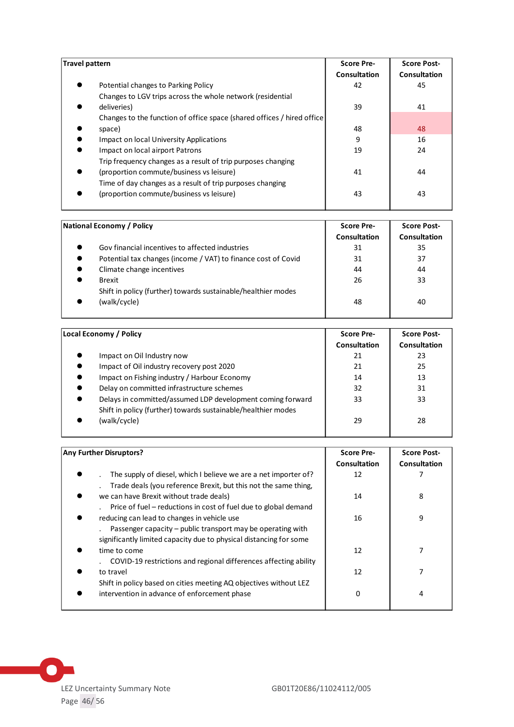| Travel pattern                                                          | <b>Score Pre-</b><br>Consultation | <b>Score Post-</b><br>Consultation |
|-------------------------------------------------------------------------|-----------------------------------|------------------------------------|
| Potential changes to Parking Policy                                     | 42                                | 45                                 |
| Changes to LGV trips across the whole network (residential              |                                   |                                    |
| deliveries)                                                             | 39                                | 41                                 |
| Changes to the function of office space (shared offices / hired office) |                                   |                                    |
| space)                                                                  | 48                                | 48                                 |
| Impact on local University Applications                                 | 9                                 | 16                                 |
| Impact on local airport Patrons                                         | 19                                | 24                                 |
| Trip frequency changes as a result of trip purposes changing            |                                   |                                    |
| (proportion commute/business vs leisure)                                | 41                                | 44                                 |
| Time of day changes as a result of trip purposes changing               |                                   |                                    |
| (proportion commute/business vs leisure)                                | 43                                | 43                                 |
|                                                                         |                                   |                                    |

| National Economy / Policy                                     | <b>Score Pre-</b> | <b>Score Post-</b> |
|---------------------------------------------------------------|-------------------|--------------------|
|                                                               | Consultation      | Consultation       |
| Gov financial incentives to affected industries               | 31                | 35                 |
| Potential tax changes (income / VAT) to finance cost of Covid | 31                | 37                 |
| Climate change incentives                                     | 44                | 44                 |
| <b>Brexit</b>                                                 | 26                | 33                 |
| Shift in policy (further) towards sustainable/healthier modes |                   |                    |
| (walk/cycle)                                                  | 48                | 40                 |
|                                                               |                   |                    |

| Local Economy / Policy                                                                                                      | <b>Score Pre-</b><br>Consultation | <b>Score Post-</b><br>Consultation |
|-----------------------------------------------------------------------------------------------------------------------------|-----------------------------------|------------------------------------|
| Impact on Oil Industry now                                                                                                  | 21                                | 23                                 |
| Impact of Oil industry recovery post 2020                                                                                   | 21                                | 25                                 |
| Impact on Fishing industry / Harbour Economy<br>$\bullet$                                                                   | 14                                | 13                                 |
| Delay on committed infrastructure schemes                                                                                   | 32                                | 31                                 |
| Delays in committed/assumed LDP development coming forward<br>Shift in policy (further) towards sustainable/healthier modes | 33                                | 33                                 |
| (walk/cycle)                                                                                                                | 29                                | 28                                 |

| <b>Any Further Disruptors?</b>                                                                                                                         | <b>Score Pre-</b><br><b>Consultation</b> | <b>Score Post-</b><br><b>Consultation</b> |
|--------------------------------------------------------------------------------------------------------------------------------------------------------|------------------------------------------|-------------------------------------------|
| The supply of diesel, which I believe we are a net importer of?<br>Trade deals (you reference Brexit, but this not the same thing,                     | 12                                       |                                           |
| we can have Brexit without trade deals)<br>Price of fuel – reductions in cost of fuel due to global demand                                             | 14                                       | 8                                         |
| reducing can lead to changes in vehicle use<br>Passenger capacity – public transport may be operating with                                             | 16                                       | 9                                         |
| significantly limited capacity due to physical distancing for some<br>time to come<br>COVID-19 restrictions and regional differences affecting ability | 12                                       |                                           |
| to travel                                                                                                                                              | 12                                       |                                           |
| Shift in policy based on cities meeting AQ objectives without LEZ<br>intervention in advance of enforcement phase                                      | 0                                        | 4                                         |

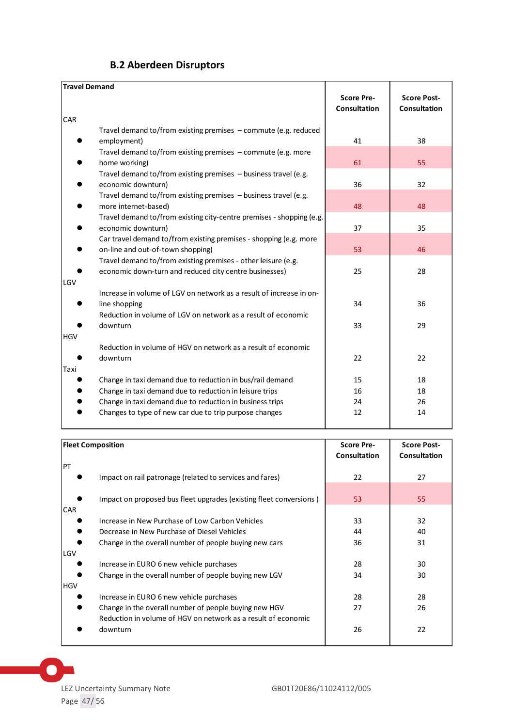<span id="page-46-0"></span>

| <b>Travel Demand</b>                                                                                                    | <b>Score Pre-</b>   |                                           |
|-------------------------------------------------------------------------------------------------------------------------|---------------------|-------------------------------------------|
|                                                                                                                         | <b>Consultation</b> | <b>Score Post-</b><br><b>Consultation</b> |
| CAR                                                                                                                     |                     |                                           |
| Travel demand to/from existing premises $-$ commute (e.g. reduced<br>employment)                                        | 41                  | 38                                        |
| Travel demand to/from existing premises - commute (e.g. more<br>home working)                                           | 61                  | 55                                        |
| Travel demand to/from existing premises $-$ business travel (e.g.<br>economic downturn)                                 | 36                  | 32                                        |
| Travel demand to/from existing premises - business travel (e.g.<br>more internet-based)                                 | 48                  | 48                                        |
| Travel demand to/from existing city-centre premises - shopping (e.g.<br>economic downturn)                              | 37                  | 35                                        |
| Car travel demand to/from existing premises - shopping (e.g. more<br>on-line and out-of-town shopping)                  | 53                  | 46                                        |
| Travel demand to/from existing premises - other leisure (e.g.<br>economic down-turn and reduced city centre businesses) | 25                  | 28                                        |
| LGV                                                                                                                     |                     |                                           |
| Increase in volume of LGV on network as a result of increase in on-<br>line shopping                                    | 34                  | 36                                        |
| Reduction in volume of LGV on network as a result of economic<br>downturn                                               | 33                  | 29                                        |
| <b>HGV</b><br>Reduction in volume of HGV on network as a result of economic                                             |                     |                                           |
| downturn                                                                                                                | 22                  | 22                                        |
| Taxi<br>Change in taxi demand due to reduction in bus/rail demand                                                       | 15                  | 18                                        |
| Change in taxi demand due to reduction in leisure trips                                                                 | 16                  | 18                                        |
| Change in taxi demand due to reduction in business trips                                                                | 24                  | 26                                        |
| Changes to type of new car due to trip purpose changes                                                                  | 12                  | 14                                        |

| <b>Fleet Composition</b>                                           | <b>Score Pre-</b><br><b>Consultation</b> | <b>Score Post-</b><br><b>Consultation</b> |
|--------------------------------------------------------------------|------------------------------------------|-------------------------------------------|
| PT                                                                 |                                          |                                           |
| Impact on rail patronage (related to services and fares)           | 22                                       | 27                                        |
|                                                                    |                                          |                                           |
| Impact on proposed bus fleet upgrades (existing fleet conversions) | 53                                       | 55                                        |
| <b>CAR</b><br>Increase in New Purchase of Low Carbon Vehicles      | 33                                       | 32                                        |
| Decrease in New Purchase of Diesel Vehicles                        | 44                                       | 40                                        |
| Change in the overall number of people buying new cars             | 36                                       | 31                                        |
| l LGV                                                              |                                          |                                           |
| Increase in EURO 6 new vehicle purchases                           | 28                                       | 30                                        |
| Change in the overall number of people buying new LGV              | 34                                       | 30                                        |
| HGV                                                                |                                          |                                           |
| Increase in EURO 6 new vehicle purchases                           | 28                                       | 28                                        |
| Change in the overall number of people buying new HGV              | 27                                       | 26                                        |
| Reduction in volume of HGV on network as a result of economic      |                                          |                                           |
| downturn                                                           | 26                                       | 22                                        |
|                                                                    |                                          |                                           |

 $\bullet$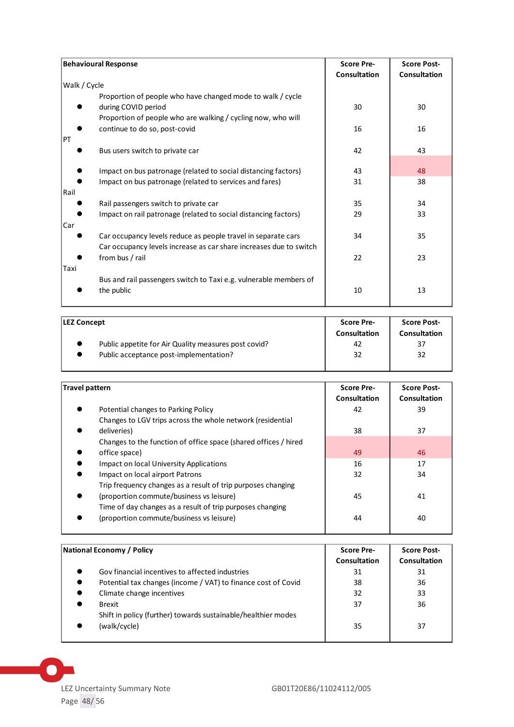| <b>Behavioural Response</b>                                                                                                                       | <b>Score Pre-</b><br><b>Consultation</b> | <b>Score Post-</b><br><b>Consultation</b> |
|---------------------------------------------------------------------------------------------------------------------------------------------------|------------------------------------------|-------------------------------------------|
| Walk / Cycle                                                                                                                                      |                                          |                                           |
| Proportion of people who have changed mode to walk / cycle<br>during COVID period<br>Proportion of people who are walking / cycling now, who will | 30                                       | 30                                        |
| continue to do so, post-covid                                                                                                                     | 16                                       | 16                                        |
| PT<br>Bus users switch to private car                                                                                                             | 42                                       | 43                                        |
| Impact on bus patronage (related to social distancing factors)                                                                                    | 43                                       | 48                                        |
| Impact on bus patronage (related to services and fares)<br> Rail                                                                                  | 31                                       | 38                                        |
| Rail passengers switch to private car                                                                                                             | 35                                       | 34                                        |
| Impact on rail patronage (related to social distancing factors)<br>Car                                                                            | 29                                       | 33                                        |
| Car occupancy levels reduce as people travel in separate cars<br>Car occupancy levels increase as car share increases due to switch               | 34                                       | 35                                        |
| from bus / rail<br>Taxi                                                                                                                           | 22                                       | 23                                        |
| Bus and rail passengers switch to Taxi e.g. vulnerable members of<br>the public                                                                   | 10                                       | 13                                        |

| <b>LEZ Concept</b>                                   | <b>Score Pre-</b><br><b>Consultation</b> | <b>Score Post-</b><br>Consultation |
|------------------------------------------------------|------------------------------------------|------------------------------------|
| Public appetite for Air Quality measures post covid? | 42                                       | 37                                 |
| Public acceptance post-implementation?               | 32                                       | 32                                 |

| Travel pattern                                                  | <b>Score Pre-</b><br>Consultation | <b>Score Post-</b><br>Consultation |
|-----------------------------------------------------------------|-----------------------------------|------------------------------------|
| Potential changes to Parking Policy                             | 42                                | 39                                 |
| Changes to LGV trips across the whole network (residential      |                                   |                                    |
| deliveries)                                                     | 38                                | 37                                 |
| Changes to the function of office space (shared offices / hired |                                   |                                    |
| office space)                                                   | 49                                | 46                                 |
| Impact on local University Applications                         | 16                                | 17                                 |
| Impact on local airport Patrons                                 | 32                                | 34                                 |
| Trip frequency changes as a result of trip purposes changing    |                                   |                                    |
| (proportion commute/business vs leisure)                        | 45                                | 41                                 |
| Time of day changes as a result of trip purposes changing       |                                   |                                    |
| (proportion commute/business vs leisure)                        | 44                                | 40                                 |

| National Economy / Policy                                     | <b>Score Pre-</b> | <b>Score Post-</b> |
|---------------------------------------------------------------|-------------------|--------------------|
|                                                               | Consultation      | Consultation       |
| Gov financial incentives to affected industries               | 31                | 31                 |
| Potential tax changes (income / VAT) to finance cost of Covid | 38                | 36                 |
| Climate change incentives                                     | 32                | 33                 |
| <b>Brexit</b>                                                 | 37                | 36                 |
| Shift in policy (further) towards sustainable/healthier modes |                   |                    |
| (walk/cycle)                                                  | 35                | 37                 |
|                                                               |                   |                    |

LEZ Uncertainty Summary Note Page 48 / 56

 $\bullet$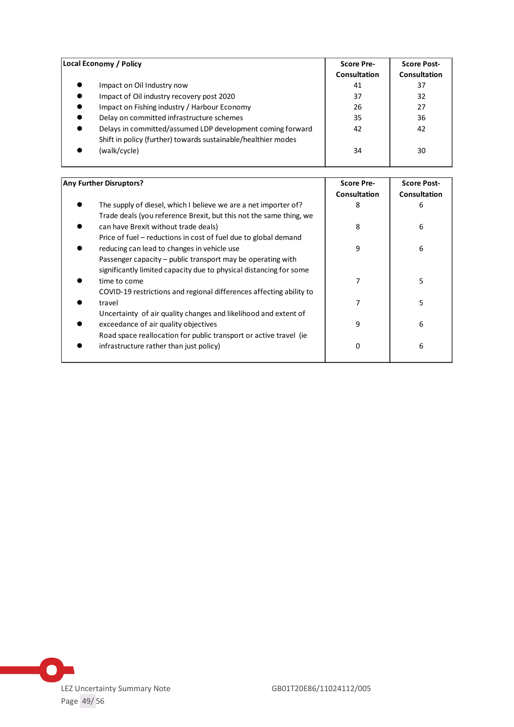| Local Economy / Policy                                        | <b>Score Pre-</b> | <b>Score Post-</b> |
|---------------------------------------------------------------|-------------------|--------------------|
|                                                               | Consultation      | Consultation       |
| Impact on Oil Industry now                                    | 41                | 37                 |
| Impact of Oil industry recovery post 2020                     | 37                | 32                 |
| Impact on Fishing industry / Harbour Economy                  | 26                | 27                 |
| Delay on committed infrastructure schemes                     | 35                | 36                 |
| Delays in committed/assumed LDP development coming forward    | 42                | 42                 |
| Shift in policy (further) towards sustainable/healthier modes |                   |                    |
| (walk/cycle)                                                  | 34                | 30                 |
|                                                               |                   |                    |

| Any Further Disruptors?                                             | <b>Score Pre-</b> | <b>Score Post-</b>  |
|---------------------------------------------------------------------|-------------------|---------------------|
|                                                                     | Consultation      | <b>Consultation</b> |
| The supply of diesel, which I believe we are a net importer of?     | 8                 | 6                   |
| Trade deals (you reference Brexit, but this not the same thing, we  |                   |                     |
| can have Brexit without trade deals)                                | 8                 | 6                   |
| Price of fuel – reductions in cost of fuel due to global demand     |                   |                     |
| reducing can lead to changes in vehicle use                         | 9                 | 6                   |
| Passenger capacity – public transport may be operating with         |                   |                     |
| significantly limited capacity due to physical distancing for some  |                   |                     |
| time to come                                                        | 7                 | 5                   |
| COVID-19 restrictions and regional differences affecting ability to |                   |                     |
| travel                                                              | 7                 | 5                   |
| Uncertainty of air quality changes and likelihood and extent of     |                   |                     |
| exceedance of air quality objectives                                | 9                 | 6                   |
| Road space reallocation for public transport or active travel (ie   |                   |                     |
| infrastructure rather than just policy)                             | 0                 | 6                   |
|                                                                     |                   |                     |
|                                                                     |                   |                     |

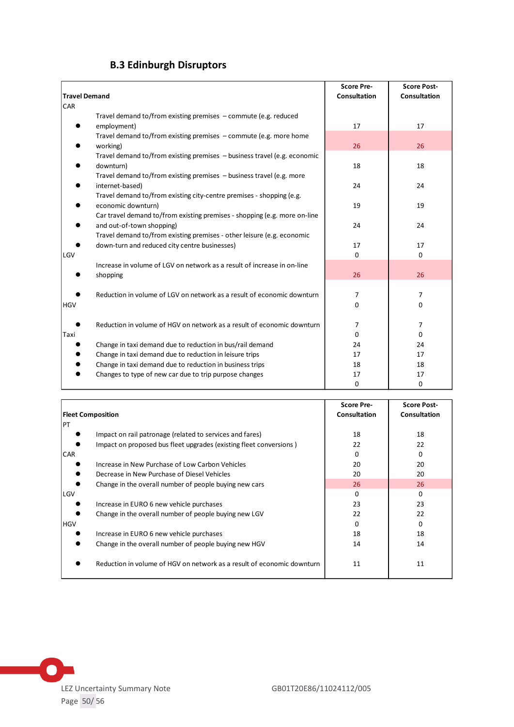# **B.3 Edinburgh Disruptors**

<span id="page-49-0"></span>

| <b>Travel Demand</b> |                                                                                                                         | <b>Score Pre-</b><br><b>Consultation</b> | <b>Score Post-</b><br><b>Consultation</b> |
|----------------------|-------------------------------------------------------------------------------------------------------------------------|------------------------------------------|-------------------------------------------|
| <b>CAR</b>           |                                                                                                                         |                                          |                                           |
|                      | Travel demand to/from existing premises - commute (e.g. reduced                                                         |                                          |                                           |
|                      | employment)                                                                                                             | 17                                       | 17                                        |
|                      | Travel demand to/from existing premises $-$ commute (e.g. more home                                                     |                                          |                                           |
|                      | working)                                                                                                                | 26                                       | 26                                        |
|                      | Travel demand to/from existing premises - business travel (e.g. economic                                                |                                          |                                           |
|                      | downturn)                                                                                                               | 18                                       | 18                                        |
|                      | Travel demand to/from existing premises - business travel (e.g. more                                                    |                                          |                                           |
|                      | internet-based)                                                                                                         | 24                                       | 24                                        |
|                      | Travel demand to/from existing city-centre premises - shopping (e.g.                                                    |                                          |                                           |
|                      | economic downturn)                                                                                                      | 19                                       | 19                                        |
|                      | Car travel demand to/from existing premises - shopping (e.g. more on-line                                               | 24                                       | 24                                        |
|                      | and out-of-town shopping)                                                                                               |                                          |                                           |
|                      | Travel demand to/from existing premises - other leisure (e.g. economic<br>down-turn and reduced city centre businesses) | 17                                       | 17                                        |
| LGV                  |                                                                                                                         | $\Omega$                                 | $\Omega$                                  |
|                      | Increase in volume of LGV on network as a result of increase in on-line                                                 |                                          |                                           |
|                      | shopping                                                                                                                | 26                                       | 26                                        |
|                      |                                                                                                                         |                                          |                                           |
|                      | Reduction in volume of LGV on network as a result of economic downturn                                                  | 7                                        | 7                                         |
| <b>HGV</b>           |                                                                                                                         | 0                                        | 0                                         |
|                      |                                                                                                                         |                                          |                                           |
|                      | Reduction in volume of HGV on network as a result of economic downturn                                                  | 7                                        | 7                                         |
| Taxi                 |                                                                                                                         | 0                                        | $\Omega$                                  |
|                      | Change in taxi demand due to reduction in bus/rail demand                                                               | 24                                       | 24                                        |
|                      | Change in taxi demand due to reduction in leisure trips                                                                 | 17                                       | 17                                        |
|                      | Change in taxi demand due to reduction in business trips                                                                | 18                                       | 18                                        |
|                      | Changes to type of new car due to trip purpose changes                                                                  | 17                                       | 17                                        |
|                      |                                                                                                                         | 0                                        | 0                                         |

|                                                                        | <b>Score Pre-</b>   | <b>Score Post-</b>  |
|------------------------------------------------------------------------|---------------------|---------------------|
| <b>Fleet Composition</b>                                               | <b>Consultation</b> | <b>Consultation</b> |
| PT                                                                     |                     |                     |
| Impact on rail patronage (related to services and fares)               | 18                  | 18                  |
| Impact on proposed bus fleet upgrades (existing fleet conversions)     | 22                  | 22                  |
| <b>CAR</b>                                                             | 0                   | $\Omega$            |
| Increase in New Purchase of Low Carbon Vehicles                        | 20                  | 20                  |
| Decrease in New Purchase of Diesel Vehicles                            | 20                  | 20                  |
| Change in the overall number of people buying new cars                 | 26                  | 26                  |
| LGV                                                                    | 0                   | 0                   |
| Increase in EURO 6 new vehicle purchases                               | 23                  | 23                  |
| Change in the overall number of people buying new LGV                  | 22                  | 22                  |
| <b>HGV</b>                                                             | 0                   | $\Omega$            |
| Increase in EURO 6 new vehicle purchases                               | 18                  | 18                  |
| Change in the overall number of people buying new HGV                  | 14                  | 14                  |
| Reduction in volume of HGV on network as a result of economic downturn | 11                  | 11                  |

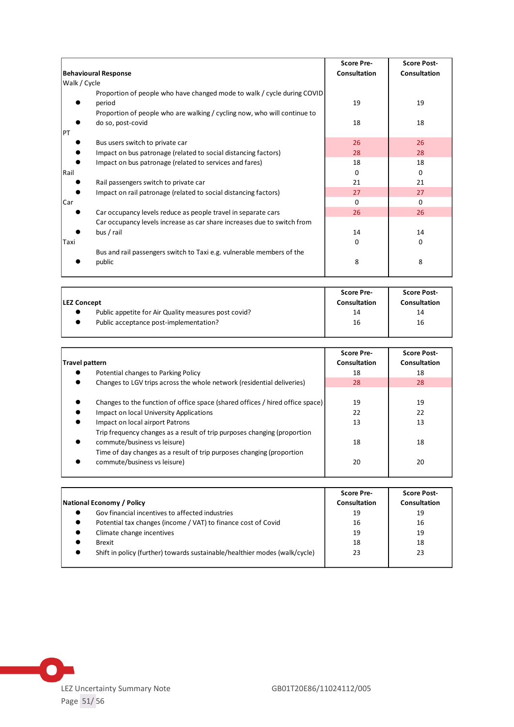|                                                                                   | <b>Score Pre-</b> | <b>Score Post-</b> |
|-----------------------------------------------------------------------------------|-------------------|--------------------|
| <b>Behavioural Response</b>                                                       | Consultation      | Consultation       |
| Walk / Cycle                                                                      |                   |                    |
| Proportion of people who have changed mode to walk / cycle during COVID<br>period | 19                | 19                 |
| Proportion of people who are walking / cycling now, who will continue to          |                   |                    |
| do so, post-covid<br>PT                                                           | 18                | 18                 |
| Bus users switch to private car                                                   | 26                | 26                 |
| Impact on bus patronage (related to social distancing factors)                    | 28                | 28                 |
| Impact on bus patronage (related to services and fares)                           | 18                | 18                 |
| Rail                                                                              | 0                 | 0                  |
| Rail passengers switch to private car                                             | 21                | 21                 |
| Impact on rail patronage (related to social distancing factors)                   | 27                | 27                 |
| Car                                                                               | $\Omega$          | $\Omega$           |
| Car occupancy levels reduce as people travel in separate cars                     | 26                | 26                 |
| Car occupancy levels increase as car share increases due to switch from           |                   |                    |
| bus / rail                                                                        | 14                | 14                 |
| Taxi                                                                              | 0                 | 0                  |
| Bus and rail passengers switch to Taxi e.g. vulnerable members of the             |                   |                    |
| public                                                                            | 8                 | 8                  |

| <b>LEZ Concept</b>                                   | <b>Score Pre-</b><br><b>Consultation</b> | <b>Score Post-</b><br>Consultation |
|------------------------------------------------------|------------------------------------------|------------------------------------|
| Public appetite for Air Quality measures post covid? | 14                                       | 14                                 |
| Public acceptance post-implementation?               | 16                                       | 16                                 |

| Travel pattern                                                                                           | <b>Score Pre-</b><br>Consultation | <b>Score Post-</b><br>Consultation |
|----------------------------------------------------------------------------------------------------------|-----------------------------------|------------------------------------|
| Potential changes to Parking Policy                                                                      | 18                                | 18                                 |
| Changes to LGV trips across the whole network (residential deliveries)                                   | 28                                | 28                                 |
| Changes to the function of office space (shared offices / hired office space)                            | 19                                | 19                                 |
| Impact on local University Applications                                                                  | 22                                | 22                                 |
| Impact on local airport Patrons                                                                          | 13                                | 13                                 |
| Trip frequency changes as a result of trip purposes changing (proportion<br>commute/business vs leisure) | 18                                | 18                                 |
| Time of day changes as a result of trip purposes changing (proportion<br>commute/business vs leisure)    | 20                                | 20                                 |

|                                                                            | <b>Score Pre-</b> | <b>Score Post-</b>  |
|----------------------------------------------------------------------------|-------------------|---------------------|
| National Economy / Policy                                                  | Consultation      | <b>Consultation</b> |
| Gov financial incentives to affected industries                            | 19                | 19                  |
| Potential tax changes (income / VAT) to finance cost of Covid              | 16                | 16                  |
| Climate change incentives                                                  | 19                | 19                  |
| <b>Brexit</b>                                                              | 18                | 18                  |
| Shift in policy (further) towards sustainable/healthier modes (walk/cycle) | 23                | 23                  |

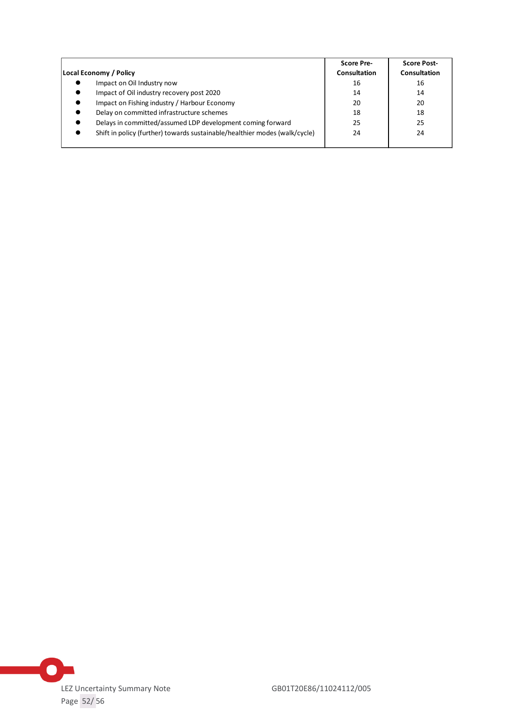| Local Economy / Policy                                                     | <b>Score Pre-</b><br><b>Consultation</b> | <b>Score Post-</b><br><b>Consultation</b> |
|----------------------------------------------------------------------------|------------------------------------------|-------------------------------------------|
| Impact on Oil Industry now                                                 | 16                                       | 16                                        |
|                                                                            |                                          |                                           |
| Impact of Oil industry recovery post 2020                                  | 14                                       | 14                                        |
| Impact on Fishing industry / Harbour Economy                               | 20                                       | 20                                        |
| Delay on committed infrastructure schemes                                  | 18                                       | 18                                        |
| Delays in committed/assumed LDP development coming forward                 | 25                                       | 25                                        |
| Shift in policy (further) towards sustainable/healthier modes (walk/cycle) | 24                                       | 24                                        |

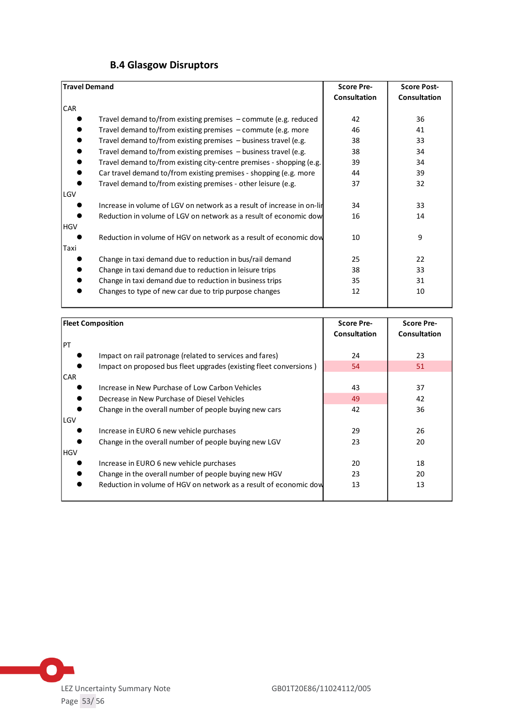<span id="page-52-0"></span>

| <b>Travel Demand</b>                                                   | <b>Score Pre-</b>   | <b>Score Post-</b>  |
|------------------------------------------------------------------------|---------------------|---------------------|
|                                                                        | <b>Consultation</b> | <b>Consultation</b> |
| <b>CAR</b>                                                             |                     |                     |
| Travel demand to/from existing premises $-$ commute (e.g. reduced      | 42                  | 36                  |
| Travel demand to/from existing premises $-$ commute (e.g. more         | 46                  | 41                  |
| Travel demand to/from existing premises - business travel (e.g.        | 38                  | 33                  |
| Travel demand to/from existing premises $-$ business travel (e.g.      | 38                  | 34                  |
| Travel demand to/from existing city-centre premises - shopping (e.g.   | 39                  | 34                  |
| Car travel demand to/from existing premises - shopping (e.g. more      | 44                  | 39                  |
| Travel demand to/from existing premises - other leisure (e.g.          | 37                  | 32                  |
| LGV                                                                    |                     |                     |
| Increase in volume of LGV on network as a result of increase in on-lin | 34                  | 33                  |
| Reduction in volume of LGV on network as a result of economic dow      | 16                  | 14                  |
| <b>HGV</b>                                                             |                     |                     |
| Reduction in volume of HGV on network as a result of economic dow      | 10                  | 9                   |
| Taxi                                                                   |                     |                     |
| Change in taxi demand due to reduction in bus/rail demand              | 25                  | 22                  |
| Change in taxi demand due to reduction in leisure trips                | 38                  | 33                  |
| Change in taxi demand due to reduction in business trips               | 35                  | 31                  |
| Changes to type of new car due to trip purpose changes                 | 12                  | 10                  |
|                                                                        |                     |                     |

| <b>Fleet Composition</b>                                           | <b>Score Pre-</b> | <b>Score Pre-</b>   |
|--------------------------------------------------------------------|-------------------|---------------------|
|                                                                    | Consultation      | <b>Consultation</b> |
| PT                                                                 |                   |                     |
| Impact on rail patronage (related to services and fares)           | 24                | 23                  |
| Impact on proposed bus fleet upgrades (existing fleet conversions) | 54                | 51                  |
| <b>CAR</b>                                                         |                   |                     |
| Increase in New Purchase of Low Carbon Vehicles                    | 43                | 37                  |
| Decrease in New Purchase of Diesel Vehicles                        | 49                | 42                  |
| Change in the overall number of people buying new cars             | 42                | 36                  |
| LGV                                                                |                   |                     |
| Increase in EURO 6 new vehicle purchases                           | 29                | 26                  |
| Change in the overall number of people buying new LGV              | 23                | 20                  |
| <b>HGV</b>                                                         |                   |                     |
| Increase in EURO 6 new vehicle purchases                           | 20                | 18                  |
| Change in the overall number of people buying new HGV              | 23                | 20                  |
| Reduction in volume of HGV on network as a result of economic dow  | 13                | 13                  |
|                                                                    |                   |                     |

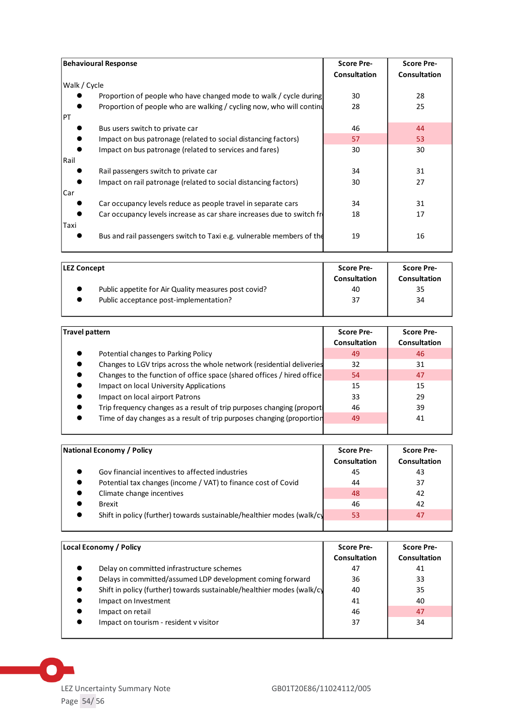| <b>Behavioural Response</b>                                             | <b>Score Pre-</b><br><b>Consultation</b> | <b>Score Pre-</b><br><b>Consultation</b> |
|-------------------------------------------------------------------------|------------------------------------------|------------------------------------------|
| Walk / Cycle                                                            |                                          |                                          |
| Proportion of people who have changed mode to walk / cycle during       | 30                                       | 28                                       |
| Proportion of people who are walking / cycling now, who will continu    | 28                                       | 25                                       |
| PT                                                                      |                                          |                                          |
| Bus users switch to private car                                         | 46                                       | 44                                       |
| Impact on bus patronage (related to social distancing factors)          | 57                                       | 53                                       |
| Impact on bus patronage (related to services and fares)                 | 30                                       | 30                                       |
| Rail                                                                    |                                          |                                          |
| Rail passengers switch to private car                                   | 34                                       | 31                                       |
| Impact on rail patronage (related to social distancing factors)         | 30                                       | 27                                       |
| Car                                                                     |                                          |                                          |
| Car occupancy levels reduce as people travel in separate cars           | 34                                       | 31                                       |
| Car occupancy levels increase as car share increases due to switch free | 18                                       | 17                                       |
| Taxi                                                                    |                                          |                                          |
| Bus and rail passengers switch to Taxi e.g. vulnerable members of the   | 19                                       | 16                                       |
|                                                                         |                                          |                                          |

| <b>LEZ Concept</b>                                   | <b>Score Pre-</b><br><b>Consultation</b> | <b>Score Pre-</b><br><b>Consultation</b> |
|------------------------------------------------------|------------------------------------------|------------------------------------------|
| Public appetite for Air Quality measures post covid? | 40                                       | 35                                       |
| Public acceptance post-implementation?               | 37                                       | 34                                       |
|                                                      |                                          |                                          |

| Travel pattern                                                          | <b>Score Pre-</b> | <b>Score Pre-</b>   |
|-------------------------------------------------------------------------|-------------------|---------------------|
|                                                                         | Consultation      | <b>Consultation</b> |
| Potential changes to Parking Policy                                     | 49                | 46                  |
| Changes to LGV trips across the whole network (residential deliveries   | 32                | 31                  |
| Changes to the function of office space (shared offices / hired office) | 54                | 47                  |
| Impact on local University Applications                                 | 15                | 15                  |
| Impact on local airport Patrons                                         | 33                | 29                  |
| Trip frequency changes as a result of trip purposes changing (proport)  | 46                | 39                  |
| Time of day changes as a result of trip purposes changing (proportion   | 49                | 41                  |
|                                                                         |                   |                     |

| National Economy / Policy                                              | <b>Score Pre-</b> | <b>Score Pre-</b> |
|------------------------------------------------------------------------|-------------------|-------------------|
|                                                                        | Consultation      | Consultation      |
| Gov financial incentives to affected industries                        | 45                | 43                |
| Potential tax changes (income / VAT) to finance cost of Covid          | 44                | 37                |
| Climate change incentives                                              | 48                | 42                |
| <b>Brexit</b>                                                          | 46                | 42                |
| Shift in policy (further) towards sustainable/healthier modes (walk/cy | 53                | 47                |
|                                                                        |                   |                   |

| Local Economy / Policy                                                 | <b>Score Pre-</b> | <b>Score Pre-</b> |
|------------------------------------------------------------------------|-------------------|-------------------|
|                                                                        | Consultation      | Consultation      |
| Delay on committed infrastructure schemes                              | 47                | 41                |
| Delays in committed/assumed LDP development coming forward             | 36                | 33                |
| Shift in policy (further) towards sustainable/healthier modes (walk/cy | 40                | 35                |
| Impact on Investment                                                   | 41                | 40                |
| Impact on retail                                                       | 46                | 47                |
| Impact on tourism - resident v visitor                                 | 37                | 34                |
|                                                                        |                   |                   |



 $\bullet$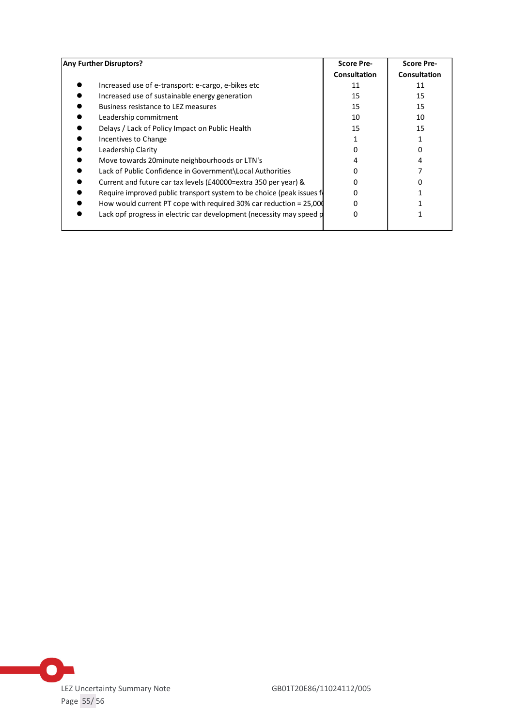| <b>Any Further Disruptors?</b>                                         | <b>Score Pre-</b>   | <b>Score Pre-</b>   |  |
|------------------------------------------------------------------------|---------------------|---------------------|--|
|                                                                        | <b>Consultation</b> | <b>Consultation</b> |  |
| Increased use of e-transport: e-cargo, e-bikes etc                     | 11                  | 11                  |  |
| Increased use of sustainable energy generation                         | 15                  | 15                  |  |
| Business resistance to LEZ measures                                    | 15                  | 15                  |  |
| Leadership commitment                                                  | 10                  | 10                  |  |
| Delays / Lack of Policy Impact on Public Health                        | 15                  | 15                  |  |
| Incentives to Change                                                   |                     |                     |  |
| Leadership Clarity                                                     |                     |                     |  |
| Move towards 20minute neighbourhoods or LTN's                          | 4                   |                     |  |
| Lack of Public Confidence in Government\Local Authorities              | n                   |                     |  |
| Current and future car tax levels (£40000=extra 350 per year) &        | ŋ                   |                     |  |
| Require improved public transport system to be choice (peak issues for | 0                   |                     |  |
| How would current PT cope with required 30% car reduction = 25,000     | ŋ                   |                     |  |
| Lack opf progress in electric car development (necessity may speed p   | 0                   |                     |  |